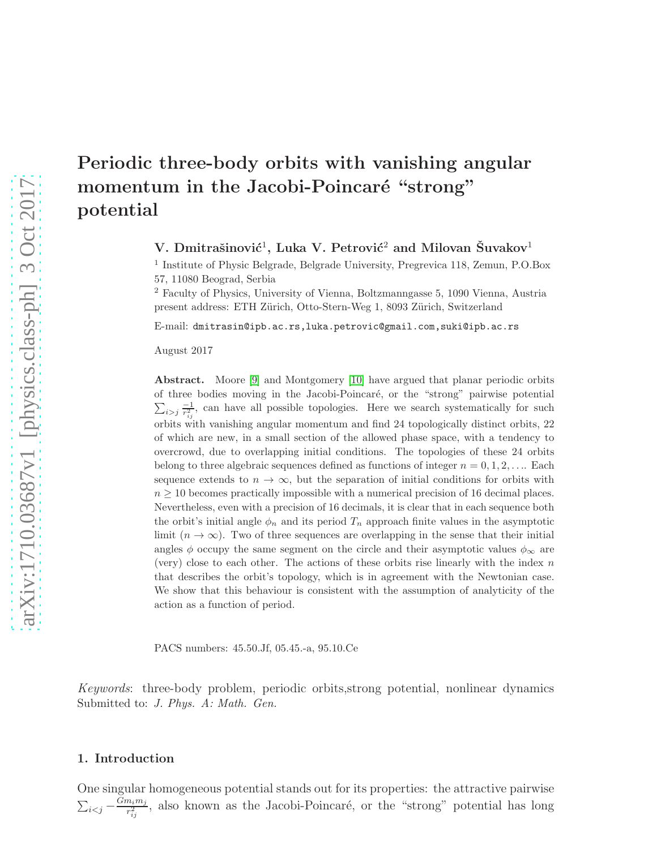# Periodic three-body orbits with vanishing angular momentum in the Jacobi-Poincaré "strong" potential

V. Dmitrašinović<sup>1</sup>, Luka V. Petrović<sup>2</sup> and Milovan Šuvakov<sup>1</sup>

1 Institute of Physic Belgrade, Belgrade University, Pregrevica 118, Zemun, P.O.Box 57, 11080 Beograd, Serbia

<sup>2</sup> Faculty of Physics, University of Vienna, Boltzmanngasse 5, 1090 Vienna, Austria present address: ETH Zürich, Otto-Stern-Weg 1, 8093 Zürich, Switzerland

E-mail: dmitrasin@ipb.ac.rs,luka.petrovic@gmail.com,suki@ipb.ac.rs

August 2017

Abstract. Moore [\[9\]](#page-26-0) and Montgomery [\[10\]](#page-26-1) have argued that planar periodic orbits of three bodies moving in the Jacobi-Poincaré, or the "strong" pairwise potential  $\sum_{i>j} \frac{-1}{r_{ii}^2}$  $\frac{-1}{r_{ij}^2}$ , can have all possible topologies. Here we search systematically for such orbits with vanishing angular momentum and find 24 topologically distinct orbits, 22 of which are new, in a small section of the allowed phase space, with a tendency to overcrowd, due to overlapping initial conditions. The topologies of these 24 orbits belong to three algebraic sequences defined as functions of integer  $n = 0, 1, 2, \ldots$  Each sequence extends to  $n \to \infty$ , but the separation of initial conditions for orbits with  $n \geq 10$  becomes practically impossible with a numerical precision of 16 decimal places. Nevertheless, even with a precision of 16 decimals, it is clear that in each sequence both the orbit's initial angle  $\phi_n$  and its period  $T_n$  approach finite values in the asymptotic limit  $(n \to \infty)$ . Two of three sequences are overlapping in the sense that their initial angles  $\phi$  occupy the same segment on the circle and their asymptotic values  $\phi_{\infty}$  are (very) close to each other. The actions of these orbits rise linearly with the index  $n$ that describes the orbit's topology, which is in agreement with the Newtonian case. We show that this behaviour is consistent with the assumption of analyticity of the action as a function of period.

PACS numbers: 45.50.Jf, 05.45.-a, 95.10.Ce

Keywords: three-body problem, periodic orbits,strong potential, nonlinear dynamics Submitted to: J. Phys. A: Math. Gen.

#### 1. Introduction

One singular homogeneous potential stands out for its properties: the attractive pairwise  $\sum_{i < j} - \frac{Gm_i m_j}{r_{ii}^2}$  $\frac{n_i m_j}{r_{ij}^2}$ , also known as the Jacobi-Poincaré, or the "strong" potential has long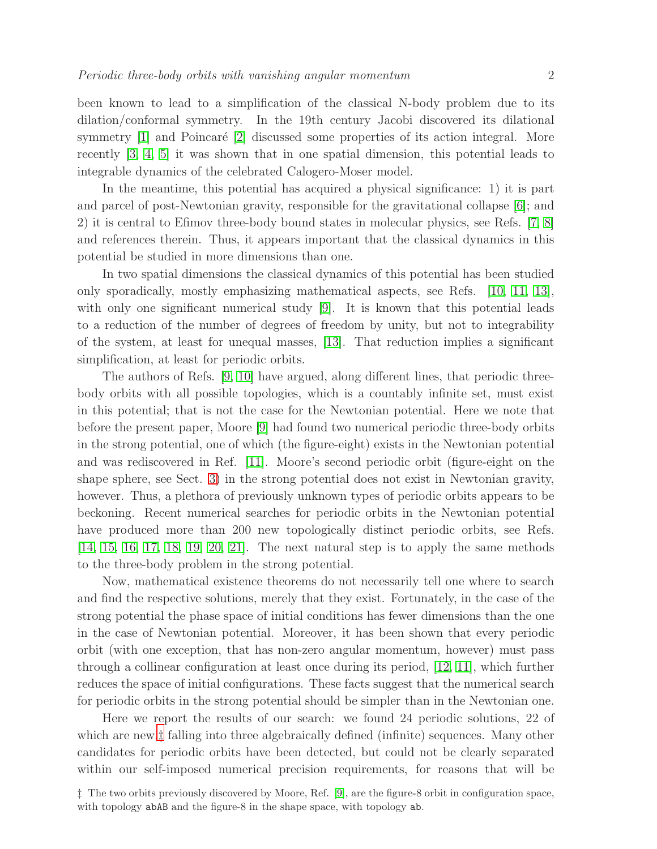been known to lead to a simplification of the classical N-body problem due to its dilation/conformal symmetry. In the 19th century Jacobi discovered its dilational symmetry  $[1]$  and Poincaré  $[2]$  discussed some properties of its action integral. More recently [\[3,](#page-26-4) [4,](#page-26-5) [5\]](#page-26-6) it was shown that in one spatial dimension, this potential leads to integrable dynamics of the celebrated Calogero-Moser model.

In the meantime, this potential has acquired a physical significance: 1) it is part and parcel of post-Newtonian gravity, responsible for the gravitational collapse [\[6\]](#page-26-7); and 2) it is central to Efimov three-body bound states in molecular physics, see Refs. [\[7,](#page-26-8) [8\]](#page-26-9) and references therein. Thus, it appears important that the classical dynamics in this potential be studied in more dimensions than one.

In two spatial dimensions the classical dynamics of this potential has been studied only sporadically, mostly emphasizing mathematical aspects, see Refs. [\[10,](#page-26-1) [11,](#page-27-0) [13\]](#page-27-1), with only one significant numerical study [\[9\]](#page-26-0). It is known that this potential leads to a reduction of the number of degrees of freedom by unity, but not to integrability of the system, at least for unequal masses, [\[13\]](#page-27-1). That reduction implies a significant simplification, at least for periodic orbits.

The authors of Refs. [\[9,](#page-26-0) [10\]](#page-26-1) have argued, along different lines, that periodic threebody orbits with all possible topologies, which is a countably infinite set, must exist in this potential; that is not the case for the Newtonian potential. Here we note that before the present paper, Moore [\[9\]](#page-26-0) had found two numerical periodic three-body orbits in the strong potential, one of which (the figure-eight) exists in the Newtonian potential and was rediscovered in Ref. [\[11\]](#page-27-0). Moore's second periodic orbit (figure-eight on the shape sphere, see Sect. [3\)](#page-8-0) in the strong potential does not exist in Newtonian gravity, however. Thus, a plethora of previously unknown types of periodic orbits appears to be beckoning. Recent numerical searches for periodic orbits in the Newtonian potential have produced more than 200 new topologically distinct periodic orbits, see Refs. [\[14,](#page-27-2) [15,](#page-27-3) [16,](#page-27-4) [17,](#page-27-5) [18,](#page-27-6) [19,](#page-27-7) [20,](#page-27-8) [21\]](#page-27-9). The next natural step is to apply the same methods to the three-body problem in the strong potential.

Now, mathematical existence theorems do not necessarily tell one where to search and find the respective solutions, merely that they exist. Fortunately, in the case of the strong potential the phase space of initial conditions has fewer dimensions than the one in the case of Newtonian potential. Moreover, it has been shown that every periodic orbit (with one exception, that has non-zero angular momentum, however) must pass through a collinear configuration at least once during its period, [\[12,](#page-27-10) [11\]](#page-27-0), which further reduces the space of initial configurations. These facts suggest that the numerical search for periodic orbits in the strong potential should be simpler than in the Newtonian one.

Here we report the results of our search: we found 24 periodic solutions, 22 of which are new,<sup> $\ddagger$ </sup> falling into three algebraically defined (infinite) sequences. Many other candidates for periodic orbits have been detected, but could not be clearly separated within our self-imposed numerical precision requirements, for reasons that will be

<span id="page-1-0"></span><sup>‡</sup> The two orbits previously discovered by Moore, Ref. [\[9\]](#page-26-0), are the figure-8 orbit in configuration space, with topology abAB and the figure-8 in the shape space, with topology ab.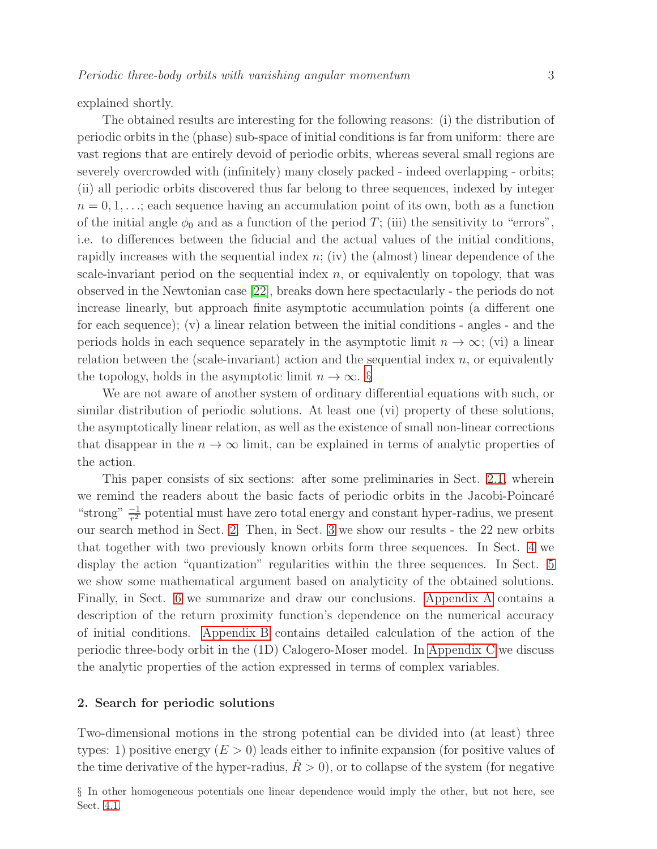explained shortly.

The obtained results are interesting for the following reasons: (i) the distribution of periodic orbits in the (phase) sub-space of initial conditions is far from uniform: there are vast regions that are entirely devoid of periodic orbits, whereas several small regions are severely overcrowded with (infinitely) many closely packed - indeed overlapping - orbits; (ii) all periodic orbits discovered thus far belong to three sequences, indexed by integer  $n = 0, 1, \ldots$ ; each sequence having an accumulation point of its own, both as a function of the initial angle  $\phi_0$  and as a function of the period T; (iii) the sensitivity to "errors", i.e. to differences between the fiducial and the actual values of the initial conditions, rapidly increases with the sequential index  $n$ ; (iv) the (almost) linear dependence of the scale-invariant period on the sequential index  $n$ , or equivalently on topology, that was observed in the Newtonian case [\[22\]](#page-27-11), breaks down here spectacularly - the periods do not increase linearly, but approach finite asymptotic accumulation points (a different one for each sequence); (v) a linear relation between the initial conditions - angles - and the periods holds in each sequence separately in the asymptotic limit  $n \to \infty$ ; (vi) a linear relation between the (scale-invariant) action and the sequential index  $n$ , or equivalently the topology, holds in the asymptotic limit  $n \to \infty$ . [§](#page-2-0)

We are not aware of another system of ordinary differential equations with such, or similar distribution of periodic solutions. At least one (vi) property of these solutions, the asymptotically linear relation, as well as the existence of small non-linear corrections that disappear in the  $n \to \infty$  limit, can be explained in terms of analytic properties of the action.

This paper consists of six sections: after some preliminaries in Sect. [2.1,](#page-3-0) wherein we remind the readers about the basic facts of periodic orbits in the Jacobi-Poincaré "strong"  $\frac{-1}{r^2}$  potential must have zero total energy and constant hyper-radius, we present our search method in Sect. [2.](#page-2-1) Then, in Sect. [3](#page-8-0) we show our results - the 22 new orbits that together with two previously known orbits form three sequences. In Sect. [4](#page-9-0) we display the action "quantization" regularities within the three sequences. In Sect. [5](#page-17-0) we show some mathematical argument based on analyticity of the obtained solutions. Finally, in Sect. [6](#page-19-0) we summarize and draw our conclusions. [Appendix A](#page-20-0) contains a description of the return proximity function's dependence on the numerical accuracy of initial conditions. [Appendix B](#page-21-0) contains detailed calculation of the action of the periodic three-body orbit in the (1D) Calogero-Moser model. In [Appendix C](#page-25-0) we discuss the analytic properties of the action expressed in terms of complex variables.

### <span id="page-2-1"></span>2. Search for periodic solutions

<span id="page-2-0"></span>Two-dimensional motions in the strong potential can be divided into (at least) three types: 1) positive energy  $(E > 0)$  leads either to infinite expansion (for positive values of the time derivative of the hyper-radius,  $R > 0$ ), or to collapse of the system (for negative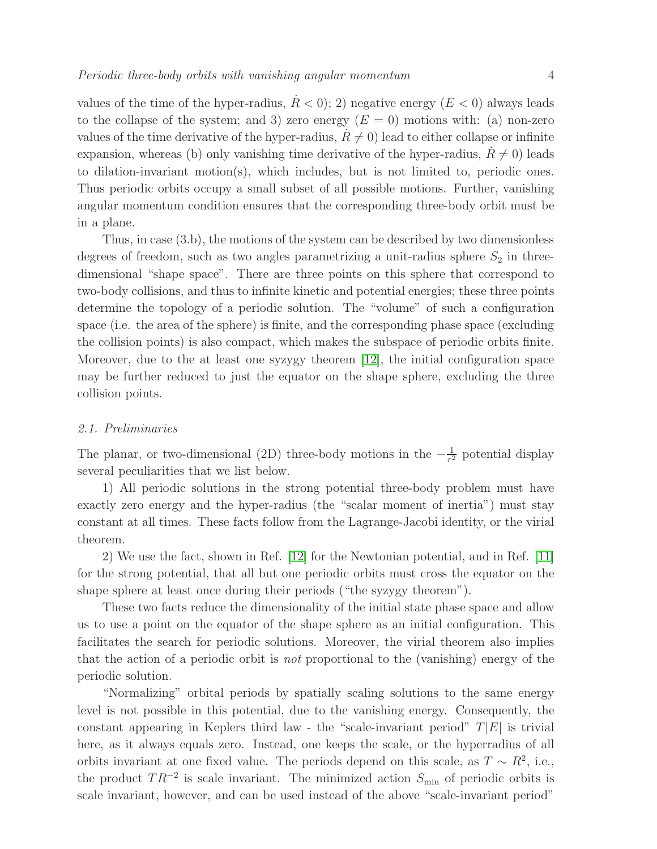values of the time of the hyper-radius,  $R < 0$ ; 2) negative energy ( $E < 0$ ) always leads to the collapse of the system; and 3) zero energy  $(E = 0)$  motions with: (a) non-zero values of the time derivative of the hyper-radius,  $R \neq 0$ ) lead to either collapse or infinite expansion, whereas (b) only vanishing time derivative of the hyper-radius,  $R \neq 0$ ) leads to dilation-invariant motion(s), which includes, but is not limited to, periodic ones. Thus periodic orbits occupy a small subset of all possible motions. Further, vanishing angular momentum condition ensures that the corresponding three-body orbit must be in a plane.

Thus, in case (3.b), the motions of the system can be described by two dimensionless degrees of freedom, such as two angles parametrizing a unit-radius sphere  $S_2$  in threedimensional "shape space". There are three points on this sphere that correspond to two-body collisions, and thus to infinite kinetic and potential energies; these three points determine the topology of a periodic solution. The "volume" of such a configuration space (i.e. the area of the sphere) is finite, and the corresponding phase space (excluding the collision points) is also compact, which makes the subspace of periodic orbits finite. Moreover, due to the at least one syzygy theorem [\[12\]](#page-27-10), the initial configuration space may be further reduced to just the equator on the shape sphere, excluding the three collision points.

#### <span id="page-3-0"></span>2.1. Preliminaries

The planar, or two-dimensional (2D) three-body motions in the  $-\frac{1}{r^2}$  $\frac{1}{r^2}$  potential display several peculiarities that we list below.

1) All periodic solutions in the strong potential three-body problem must have exactly zero energy and the hyper-radius (the "scalar moment of inertia") must stay constant at all times. These facts follow from the Lagrange-Jacobi identity, or the virial theorem.

2) We use the fact, shown in Ref. [\[12\]](#page-27-10) for the Newtonian potential, and in Ref. [\[11\]](#page-27-0) for the strong potential, that all but one periodic orbits must cross the equator on the shape sphere at least once during their periods ("the syzygy theorem").

These two facts reduce the dimensionality of the initial state phase space and allow us to use a point on the equator of the shape sphere as an initial configuration. This facilitates the search for periodic solutions. Moreover, the virial theorem also implies that the action of a periodic orbit is not proportional to the (vanishing) energy of the periodic solution.

"Normalizing" orbital periods by spatially scaling solutions to the same energy level is not possible in this potential, due to the vanishing energy. Consequently, the constant appearing in Keplers third law - the "scale-invariant period"  $T|E|$  is trivial here, as it always equals zero. Instead, one keeps the scale, or the hyperradius of all orbits invariant at one fixed value. The periods depend on this scale, as  $T \sim R^2$ , i.e., the product  $TR^{-2}$  is scale invariant. The minimized action  $S_{\text{min}}$  of periodic orbits is scale invariant, however, and can be used instead of the above "scale-invariant period"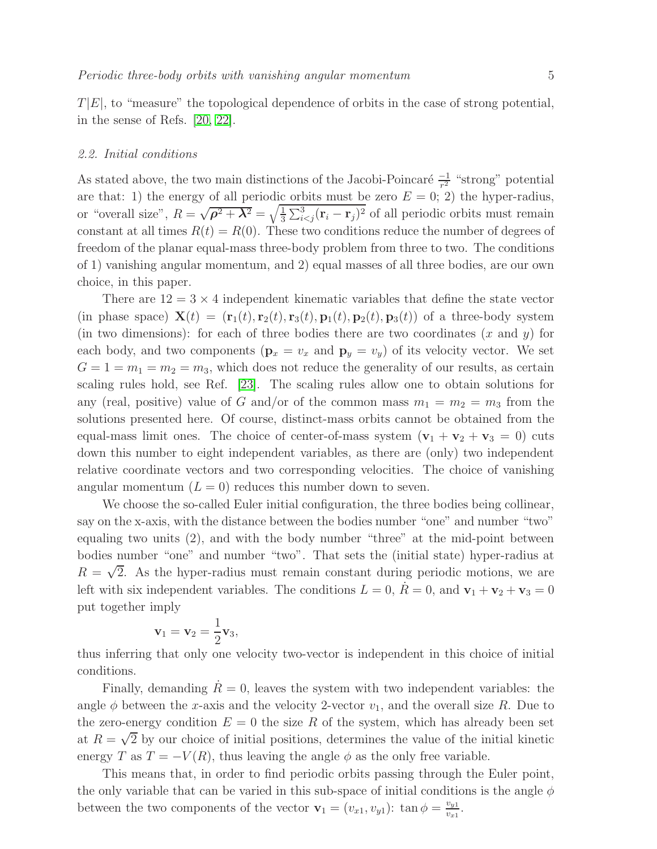$T|E|$ , to "measure" the topological dependence of orbits in the case of strong potential, in the sense of Refs. [\[20,](#page-27-8) [22\]](#page-27-11).

#### <span id="page-4-0"></span>2.2. Initial conditions

As stated above, the two main distinctions of the Jacobi-Poincaré  $\frac{-1}{r^2}$  "strong" potential are that: 1) the energy of all periodic orbits must be zero  $E = 0$ ; 2) the hyper-radius, or "overall size",  $R = \sqrt{\rho^2 + \lambda^2} = \sqrt{\frac{1}{3}}$  $\frac{1}{3}\sum_{i of all periodic orbits must remain$ constant at all times  $R(t) = R(0)$ . These two conditions reduce the number of degrees of freedom of the planar equal-mass three-body problem from three to two. The conditions of 1) vanishing angular momentum, and 2) equal masses of all three bodies, are our own choice, in this paper.

There are  $12 = 3 \times 4$  independent kinematic variables that define the state vector (in phase space)  $\mathbf{X}(t) = (\mathbf{r}_1(t), \mathbf{r}_2(t), \mathbf{r}_3(t), \mathbf{p}_1(t), \mathbf{p}_2(t), \mathbf{p}_3(t))$  of a three-body system (in two dimensions): for each of three bodies there are two coordinates  $(x \text{ and } y)$  for each body, and two components  $(\mathbf{p}_x = v_x \text{ and } \mathbf{p}_y = v_y)$  of its velocity vector. We set  $G = 1 = m_1 = m_2 = m_3$ , which does not reduce the generality of our results, as certain scaling rules hold, see Ref. [\[23\]](#page-27-12). The scaling rules allow one to obtain solutions for any (real, positive) value of G and/or of the common mass  $m_1 = m_2 = m_3$  from the solutions presented here. Of course, distinct-mass orbits cannot be obtained from the equal-mass limit ones. The choice of center-of-mass system  $(v_1 + v_2 + v_3 = 0)$  cuts down this number to eight independent variables, as there are (only) two independent relative coordinate vectors and two corresponding velocities. The choice of vanishing angular momentum  $(L = 0)$  reduces this number down to seven.

We choose the so-called Euler initial configuration, the three bodies being collinear, say on the x-axis, with the distance between the bodies number "one" and number "two" equaling two units (2), and with the body number "three" at the mid-point between bodies number "one" and number "two". That sets the (initial state) hyper-radius at  $R = \sqrt{2}$ . As the hyper-radius must remain constant during periodic motions, we are left with six independent variables. The conditions  $L = 0$ ,  $\dot{R} = 0$ , and  $\mathbf{v}_1 + \mathbf{v}_2 + \mathbf{v}_3 = 0$ put together imply

$$
\mathbf{v}_1 = \mathbf{v}_2 = \frac{1}{2} \mathbf{v}_3,
$$

thus inferring that only one velocity two-vector is independent in this choice of initial conditions.

Finally, demanding  $R=0$ , leaves the system with two independent variables: the angle  $\phi$  between the x-axis and the velocity 2-vector  $v_1$ , and the overall size R. Due to the zero-energy condition  $E = 0$  the size R of the system, which has already been set at  $R = \sqrt{2}$  by our choice of initial positions, determines the value of the initial kinetic energy T as  $T = -V(R)$ , thus leaving the angle  $\phi$  as the only free variable.

This means that, in order to find periodic orbits passing through the Euler point, the only variable that can be varied in this sub-space of initial conditions is the angle  $\phi$ between the two components of the vector  $\mathbf{v}_1 = (v_{x1}, v_{y1})$ :  $\tan \phi = \frac{v_{y1}}{v_{y1}}$  $\frac{v_{y1}}{v_{x1}}$ .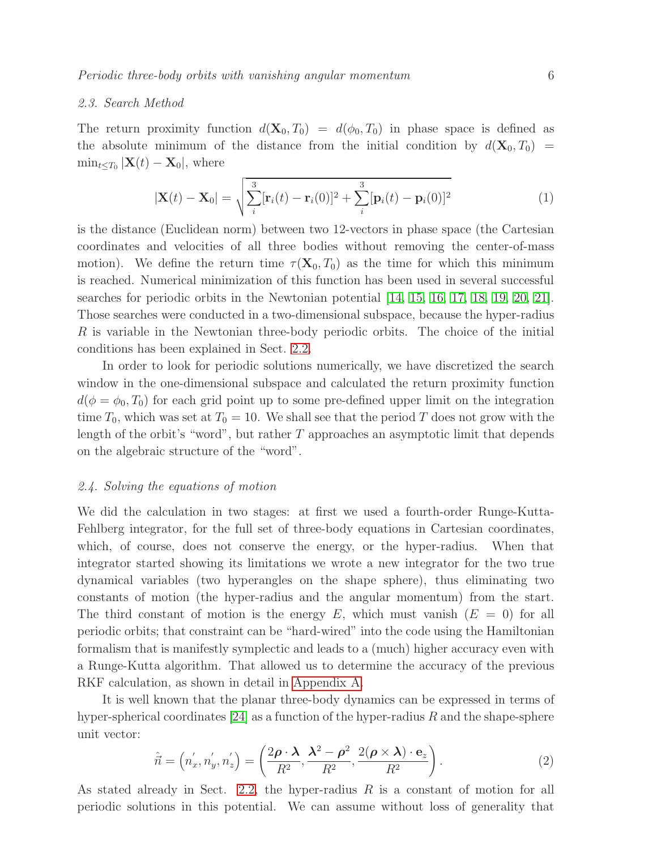#### 2.3. Search Method

The return proximity function  $d(\mathbf{X}_0, T_0) = d(\phi_0, T_0)$  in phase space is defined as the absolute minimum of the distance from the initial condition by  $d(\mathbf{X}_0, T_0)$  =  $\min_{t \leq T_0} |\mathbf{X}(t) - \mathbf{X}_0|$ , where

$$
|\mathbf{X}(t) - \mathbf{X}_0| = \sqrt{\sum_{i}^{3} [\mathbf{r}_i(t) - \mathbf{r}_i(0)]^2 + \sum_{i}^{3} [\mathbf{p}_i(t) - \mathbf{p}_i(0)]^2}
$$
(1)

is the distance (Euclidean norm) between two 12-vectors in phase space (the Cartesian coordinates and velocities of all three bodies without removing the center-of-mass motion). We define the return time  $\tau(\mathbf{X}_0, T_0)$  as the time for which this minimum is reached. Numerical minimization of this function has been used in several successful searches for periodic orbits in the Newtonian potential [\[14,](#page-27-2) [15,](#page-27-3) [16,](#page-27-4) [17,](#page-27-5) [18,](#page-27-6) [19,](#page-27-7) [20,](#page-27-8) [21\]](#page-27-9). Those searches were conducted in a two-dimensional subspace, because the hyper-radius R is variable in the Newtonian three-body periodic orbits. The choice of the initial conditions has been explained in Sect. [2.2.](#page-4-0)

In order to look for periodic solutions numerically, we have discretized the search window in the one-dimensional subspace and calculated the return proximity function  $d(\phi = \phi_0, T_0)$  for each grid point up to some pre-defined upper limit on the integration time  $T_0$ , which was set at  $T_0 = 10$ . We shall see that the period T does not grow with the length of the orbit's "word", but rather  $T$  approaches an asymptotic limit that depends on the algebraic structure of the "word".

#### 2.4. Solving the equations of motion

We did the calculation in two stages: at first we used a fourth-order Runge-Kutta-Fehlberg integrator, for the full set of three-body equations in Cartesian coordinates, which, of course, does not conserve the energy, or the hyper-radius. When that integrator started showing its limitations we wrote a new integrator for the two true dynamical variables (two hyperangles on the shape sphere), thus eliminating two constants of motion (the hyper-radius and the angular momentum) from the start. The third constant of motion is the energy E, which must vanish  $(E = 0)$  for all periodic orbits; that constraint can be "hard-wired" into the code using the Hamiltonian formalism that is manifestly symplectic and leads to a (much) higher accuracy even with a Runge-Kutta algorithm. That allowed us to determine the accuracy of the previous RKF calculation, as shown in detail in [Appendix A.](#page-20-0)

It is well known that the planar three-body dynamics can be expressed in terms of hyper-spherical coordinates  $[24]$  as a function of the hyper-radius R and the shape-sphere unit vector:

$$
\hat{\vec{n}} = (n'_x, n'_y, n'_z) = \left(\frac{2\rho \cdot \lambda}{R^2}, \frac{\lambda^2 - \rho^2}{R^2}, \frac{2(\rho \times \lambda) \cdot \mathbf{e}_z}{R^2}\right).
$$
\n(2)

As stated already in Sect. [2.2,](#page-4-0) the hyper-radius  $R$  is a constant of motion for all periodic solutions in this potential. We can assume without loss of generality that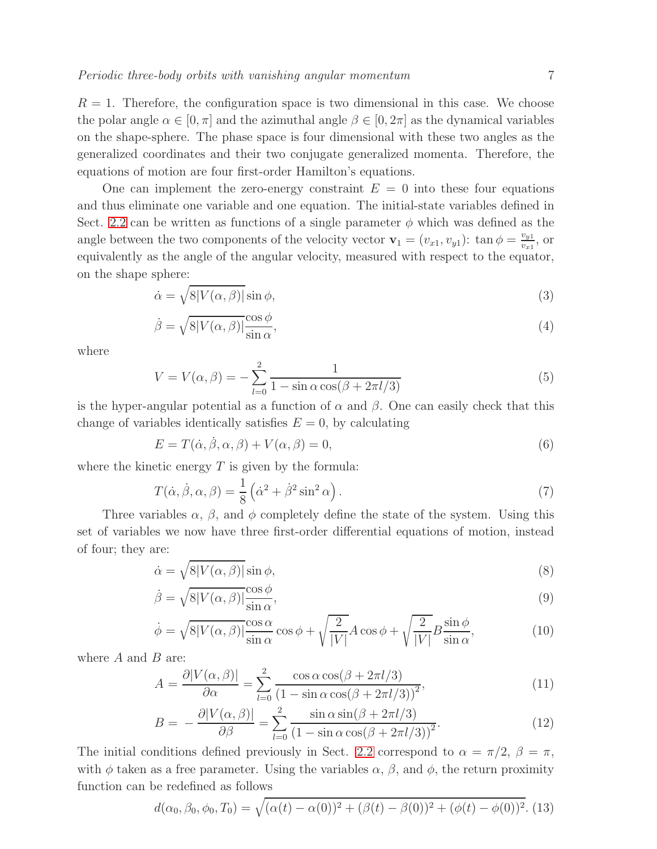$R = 1$ . Therefore, the configuration space is two dimensional in this case. We choose the polar angle  $\alpha \in [0, \pi]$  and the azimuthal angle  $\beta \in [0, 2\pi]$  as the dynamical variables on the shape-sphere. The phase space is four dimensional with these two angles as the generalized coordinates and their two conjugate generalized momenta. Therefore, the equations of motion are four first-order Hamilton's equations.

One can implement the zero-energy constraint  $E = 0$  into these four equations and thus eliminate one variable and one equation. The initial-state variables defined in Sect. [2.2](#page-4-0) can be written as functions of a single parameter  $\phi$  which was defined as the angle between the two components of the velocity vector  $\mathbf{v}_1 = (v_{x1}, v_{y1})$ :  $\tan \phi = \frac{v_{y1}}{v_{x1}}$  $\frac{v_{y1}}{v_{x1}},$  or equivalently as the angle of the angular velocity, measured with respect to the equator, on the shape sphere:

$$
\dot{\alpha} = \sqrt{8|V(\alpha, \beta)|} \sin \phi,\tag{3}
$$

$$
\dot{\beta} = \sqrt{8|V(\alpha,\beta)|} \frac{\cos \phi}{\sin \alpha},\tag{4}
$$

where

$$
V = V(\alpha, \beta) = -\sum_{l=0}^{2} \frac{1}{1 - \sin \alpha \cos(\beta + 2\pi l/3)}
$$
(5)

is the hyper-angular potential as a function of  $\alpha$  and  $\beta$ . One can easily check that this change of variables identically satisfies  $E = 0$ , by calculating

$$
E = T(\dot{\alpha}, \dot{\beta}, \alpha, \beta) + V(\alpha, \beta) = 0,\tag{6}
$$

where the kinetic energy  $T$  is given by the formula:

$$
T(\dot{\alpha}, \dot{\beta}, \alpha, \beta) = \frac{1}{8} \left( \dot{\alpha}^2 + \dot{\beta}^2 \sin^2 \alpha \right).
$$
 (7)

Three variables  $\alpha$ ,  $\beta$ , and  $\phi$  completely define the state of the system. Using this set of variables we now have three first-order differential equations of motion, instead of four; they are:

$$
\dot{\alpha} = \sqrt{8|V(\alpha, \beta)|} \sin \phi,\tag{8}
$$

$$
\dot{\beta} = \sqrt{8|V(\alpha,\beta)|} \frac{\cos \phi}{\sin \alpha},\tag{9}
$$

$$
\dot{\phi} = \sqrt{8|V(\alpha,\beta)|} \frac{\cos\alpha}{\sin\alpha} \cos\phi + \sqrt{\frac{2}{|V|}} A \cos\phi + \sqrt{\frac{2}{|V|}} B \frac{\sin\phi}{\sin\alpha},\tag{10}
$$

where  $A$  and  $B$  are:

$$
A = \frac{\partial |V(\alpha, \beta)|}{\partial \alpha} = \sum_{l=0}^{2} \frac{\cos \alpha \cos(\beta + 2\pi l/3)}{(1 - \sin \alpha \cos(\beta + 2\pi l/3))^2},
$$
(11)

$$
B = -\frac{\partial |V(\alpha, \beta)|}{\partial \beta} = \sum_{l=0}^{2} \frac{\sin \alpha \sin(\beta + 2\pi l/3)}{(1 - \sin \alpha \cos(\beta + 2\pi l/3))^2}.
$$
 (12)

The initial conditions defined previously in Sect. [2.2](#page-4-0) correspond to  $\alpha = \pi/2$ ,  $\beta = \pi$ , with  $\phi$  taken as a free parameter. Using the variables  $\alpha$ ,  $\beta$ , and  $\phi$ , the return proximity function can be redefined as follows

$$
d(\alpha_0, \beta_0, \phi_0, T_0) = \sqrt{(\alpha(t) - \alpha(0))^2 + (\beta(t) - \beta(0))^2 + (\phi(t) - \phi(0))^2}.
$$
 (13)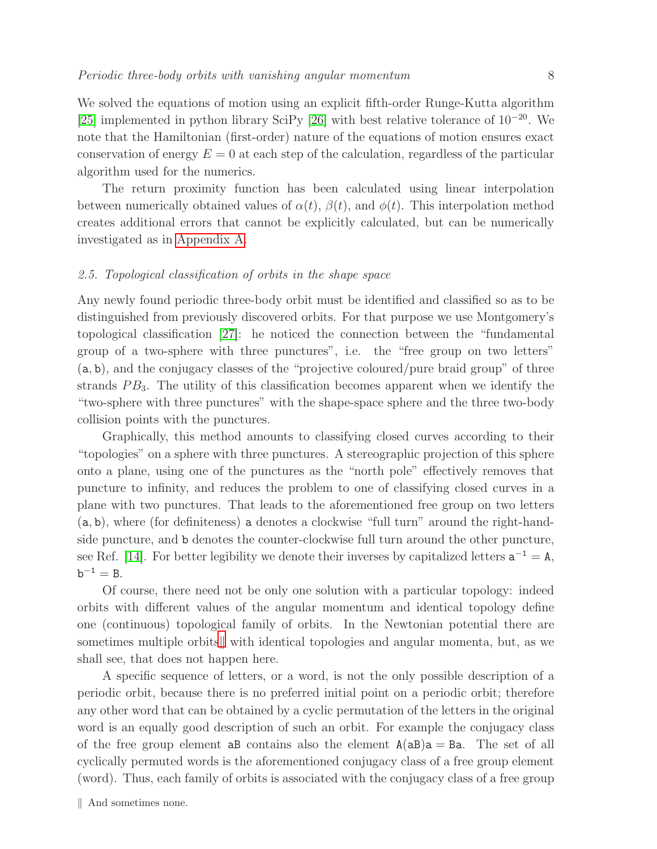We solved the equations of motion using an explicit fifth-order Runge-Kutta algorithm [\[25\]](#page-27-14) implemented in python library SciPy [\[26\]](#page-27-15) with best relative tolerance of  $10^{-20}$ . We note that the Hamiltonian (first-order) nature of the equations of motion ensures exact conservation of energy  $E = 0$  at each step of the calculation, regardless of the particular algorithm used for the numerics.

The return proximity function has been calculated using linear interpolation between numerically obtained values of  $\alpha(t)$ ,  $\beta(t)$ , and  $\phi(t)$ . This interpolation method creates additional errors that cannot be explicitly calculated, but can be numerically investigated as in [Appendix A.](#page-20-0)

# 2.5. Topological classification of orbits in the shape space

Any newly found periodic three-body orbit must be identified and classified so as to be distinguished from previously discovered orbits. For that purpose we use Montgomery's topological classification [\[27\]](#page-27-16): he noticed the connection between the "fundamental group of a two-sphere with three punctures", i.e. the "free group on two letters" (a, b), and the conjugacy classes of the "projective coloured/pure braid group" of three strands  $PB<sub>3</sub>$ . The utility of this classification becomes apparent when we identify the "two-sphere with three punctures" with the shape-space sphere and the three two-body collision points with the punctures.

Graphically, this method amounts to classifying closed curves according to their "topologies" on a sphere with three punctures. A stereographic projection of this sphere onto a plane, using one of the punctures as the "north pole" effectively removes that puncture to infinity, and reduces the problem to one of classifying closed curves in a plane with two punctures. That leads to the aforementioned free group on two letters (a, b), where (for definiteness) a denotes a clockwise "full turn" around the right-handside puncture, and b denotes the counter-clockwise full turn around the other puncture, see Ref. [\[14\]](#page-27-2). For better legibility we denote their inverses by capitalized letters  $a^{-1} = A$ ,  $b^{-1} = B.$ 

Of course, there need not be only one solution with a particular topology: indeed orbits with different values of the angular momentum and identical topology define one (continuous) topological family of orbits. In the Newtonian potential there are sometimes multiple orbits, with identical topologies and angular momenta, but, as we shall see, that does not happen here.

<span id="page-7-0"></span>A specific sequence of letters, or a word, is not the only possible description of a periodic orbit, because there is no preferred initial point on a periodic orbit; therefore any other word that can be obtained by a cyclic permutation of the letters in the original word is an equally good description of such an orbit. For example the conjugacy class of the free group element aB contains also the element  $A(aB)a = Ba$ . The set of all cyclically permuted words is the aforementioned conjugacy class of a free group element (word). Thus, each family of orbits is associated with the conjugacy class of a free group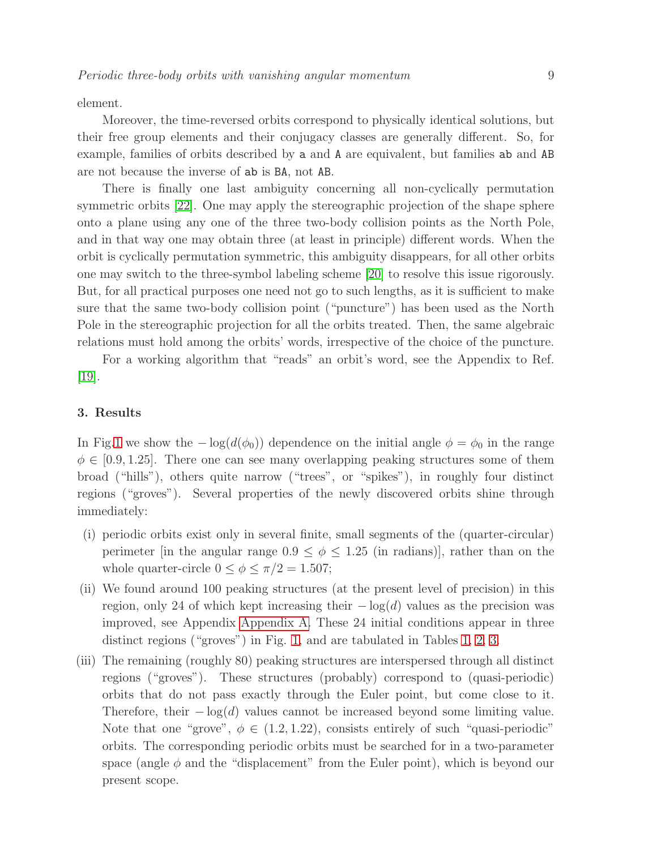element.

Moreover, the time-reversed orbits correspond to physically identical solutions, but their free group elements and their conjugacy classes are generally different. So, for example, families of orbits described by a and A are equivalent, but families ab and AB are not because the inverse of ab is BA, not AB.

There is finally one last ambiguity concerning all non-cyclically permutation symmetric orbits [\[22\]](#page-27-11). One may apply the stereographic projection of the shape sphere onto a plane using any one of the three two-body collision points as the North Pole, and in that way one may obtain three (at least in principle) different words. When the orbit is cyclically permutation symmetric, this ambiguity disappears, for all other orbits one may switch to the three-symbol labeling scheme [\[20\]](#page-27-8) to resolve this issue rigorously. But, for all practical purposes one need not go to such lengths, as it is sufficient to make sure that the same two-body collision point ("puncture") has been used as the North Pole in the stereographic projection for all the orbits treated. Then, the same algebraic relations must hold among the orbits' words, irrespective of the choice of the puncture.

For a working algorithm that "reads" an orbit's word, see the Appendix to Ref. [\[19\]](#page-27-7).

## <span id="page-8-0"></span>3. Results

In Fig[.1](#page-10-0) we show the  $-\log(d(\phi_0))$  dependence on the initial angle  $\phi = \phi_0$  in the range  $\phi \in [0.9, 1.25]$ . There one can see many overlapping peaking structures some of them broad ("hills"), others quite narrow ("trees", or "spikes"), in roughly four distinct regions ("groves"). Several properties of the newly discovered orbits shine through immediately:

- (i) periodic orbits exist only in several finite, small segments of the (quarter-circular) perimeter [in the angular range  $0.9 \le \phi \le 1.25$  (in radians)], rather than on the whole quarter-circle  $0 \le \phi \le \pi/2 = 1.507$ ;
- (ii) We found around 100 peaking structures (at the present level of precision) in this region, only 24 of which kept increasing their  $-\log(d)$  values as the precision was improved, see Appendix [Appendix A.](#page-20-0) These 24 initial conditions appear in three distinct regions ("groves") in Fig. [1,](#page-10-0) and are tabulated in Tables [1,](#page-10-1) [2,](#page-11-0) [3.](#page-11-1)
- (iii) The remaining (roughly 80) peaking structures are interspersed through all distinct regions ("groves"). These structures (probably) correspond to (quasi-periodic) orbits that do not pass exactly through the Euler point, but come close to it. Therefore, their  $-\log(d)$  values cannot be increased beyond some limiting value. Note that one "grove",  $\phi \in (1.2, 1.22)$ , consists entirely of such "quasi-periodic" orbits. The corresponding periodic orbits must be searched for in a two-parameter space (angle  $\phi$  and the "displacement" from the Euler point), which is beyond our present scope.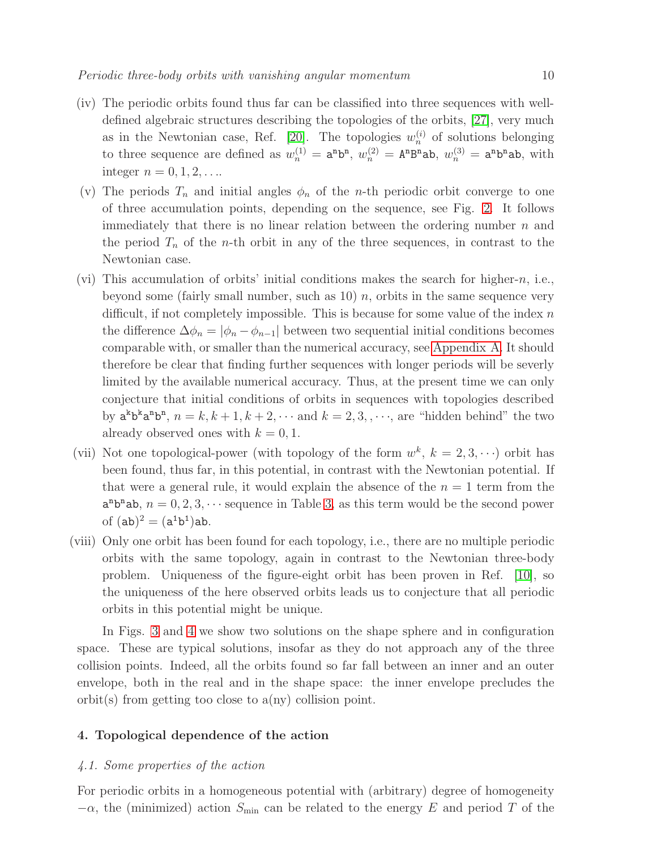- (iv) The periodic orbits found thus far can be classified into three sequences with welldefined algebraic structures describing the topologies of the orbits, [\[27\]](#page-27-16), very much as in the Newtonian case, Ref. [\[20\]](#page-27-8). The topologies  $w_n^{(i)}$  of solutions belonging to three sequence are defined as  $w_n^{(1)} = \mathbf{a}^{\mathbf{n}} \mathbf{b}^{\mathbf{n}}, w_n^{(2)} = \mathbf{A}^{\mathbf{n}} \mathbf{B}^{\mathbf{n}} \mathbf{a} \mathbf{b}, w_n^{(3)} = \mathbf{a}^{\mathbf{n}} \mathbf{b}^{\mathbf{n}} \mathbf{a} \mathbf{b}$ , with integer  $n = 0, 1, 2, \ldots$
- (v) The periods  $T_n$  and initial angles  $\phi_n$  of the *n*-th periodic orbit converge to one of three accumulation points, depending on the sequence, see Fig. [2.](#page-12-0) It follows immediately that there is no linear relation between the ordering number  $n$  and the period  $T_n$  of the *n*-th orbit in any of the three sequences, in contrast to the Newtonian case.
- (vi) This accumulation of orbits' initial conditions makes the search for higher-n, i.e., beyond some (fairly small number, such as 10)  $n$ , orbits in the same sequence very difficult, if not completely impossible. This is because for some value of the index  $n$ the difference  $\Delta \phi_n = |\phi_n - \phi_{n-1}|$  between two sequential initial conditions becomes comparable with, or smaller than the numerical accuracy, see [Appendix A.](#page-20-0) It should therefore be clear that finding further sequences with longer periods will be severly limited by the available numerical accuracy. Thus, at the present time we can only conjecture that initial conditions of orbits in sequences with topologies described by  $a^k b^k a^n b^n$ ,  $n = k, k + 1, k + 2, \cdots$  and  $k = 2, 3, \cdots$ , are "hidden behind" the two already observed ones with  $k = 0, 1$ .
- (vii) Not one topological-power (with topology of the form  $w^k$ ,  $k = 2, 3, \dots$ ) orbit has been found, thus far, in this potential, in contrast with the Newtonian potential. If that were a general rule, it would explain the absence of the  $n = 1$  term from the  $a^nb^nab$ ,  $n = 0, 2, 3, \cdots$  $n = 0, 2, 3, \cdots$  $n = 0, 2, 3, \cdots$  sequence in Table 3, as this term would be the second power of  $(ab)^2 = (a^1b^1)ab$ .
- (viii) Only one orbit has been found for each topology, i.e., there are no multiple periodic orbits with the same topology, again in contrast to the Newtonian three-body problem. Uniqueness of the figure-eight orbit has been proven in Ref. [\[10\]](#page-26-1), so the uniqueness of the here observed orbits leads us to conjecture that all periodic orbits in this potential might be unique.

In Figs. [3](#page-12-1) and [4](#page-13-0) we show two solutions on the shape sphere and in configuration space. These are typical solutions, insofar as they do not approach any of the three collision points. Indeed, all the orbits found so far fall between an inner and an outer envelope, both in the real and in the shape space: the inner envelope precludes the orbit(s) from getting too close to a(ny) collision point.

# <span id="page-9-1"></span><span id="page-9-0"></span>4. Topological dependence of the action

# 4.1. Some properties of the action

For periodic orbits in a homogeneous potential with (arbitrary) degree of homogeneity  $-\alpha$ , the (minimized) action  $S_{\text{min}}$  can be related to the energy E and period T of the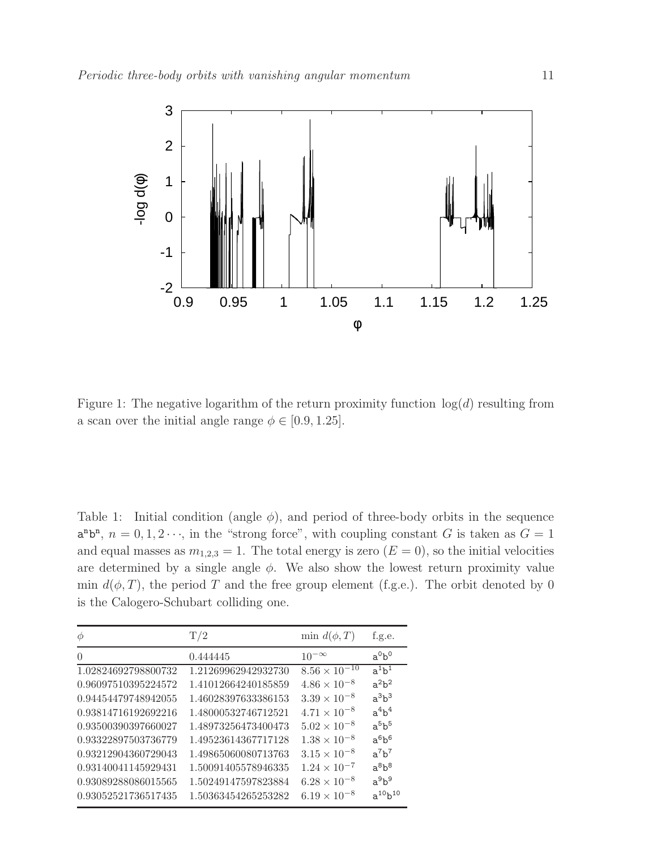<span id="page-10-0"></span>

Figure 1: The negative logarithm of the return proximity function  $log(d)$  resulting from a scan over the initial angle range  $\phi \in [0.9, 1.25]$ .

<span id="page-10-1"></span>Table 1: Initial condition (angle  $\phi$ ), and period of three-body orbits in the sequence  $a^nb^n$ ,  $n = 0, 1, 2 \cdots$ , in the "strong force", with coupling constant G is taken as  $G = 1$ and equal masses as  $m_{1,2,3} = 1$ . The total energy is zero  $(E = 0)$ , so the initial velocities are determined by a single angle  $\phi$ . We also show the lowest return proximity value min  $d(\phi, T)$ , the period T and the free group element (f.g.e.). The orbit denoted by 0 is the Calogero-Schubart colliding one.

| Φ                   | T/2                 | min $d(\phi,T)$        | f.g.e.         |
|---------------------|---------------------|------------------------|----------------|
| $\Omega$            | 0.444445            | $10^{-\infty}$         | $a^0b^0$       |
| 1.02824692798800732 | 1.21269962942932730 | $8.56 \times 10^{-10}$ | $a^1b^1$       |
| 0.96097510395224572 | 1.41012664240185859 | $4.86 \times 10^{-8}$  | $a^2b^2$       |
| 0.94454479748942055 | 1.46028397633386153 | $3.39 \times 10^{-8}$  | $a^3b^3$       |
| 0.93814716192692216 | 1.48000532746712521 | $4.71 \times 10^{-8}$  | $a^4b^4$       |
| 0.93500390397660027 | 1.48973256473400473 | $5.02 \times 10^{-8}$  | $a^5b^5$       |
| 0.93322897503736779 | 1.49523614367717128 | $1.38 \times 10^{-8}$  | $a^6b^6$       |
| 0.93212904360729043 | 1.49865060080713763 | $3.15 \times 10^{-8}$  | $a^7b^7$       |
| 0.93140041145929431 | 1.50091405578946335 | $1.24 \times 10^{-7}$  | $a^8b^8$       |
| 0.93089288086015565 | 1.50249147597823884 | $6.28 \times 10^{-8}$  | $a^9b^9$       |
| 0.93052521736517435 | 1.50363454265253282 | $6.19 \times 10^{-8}$  | $a^{10}b^{10}$ |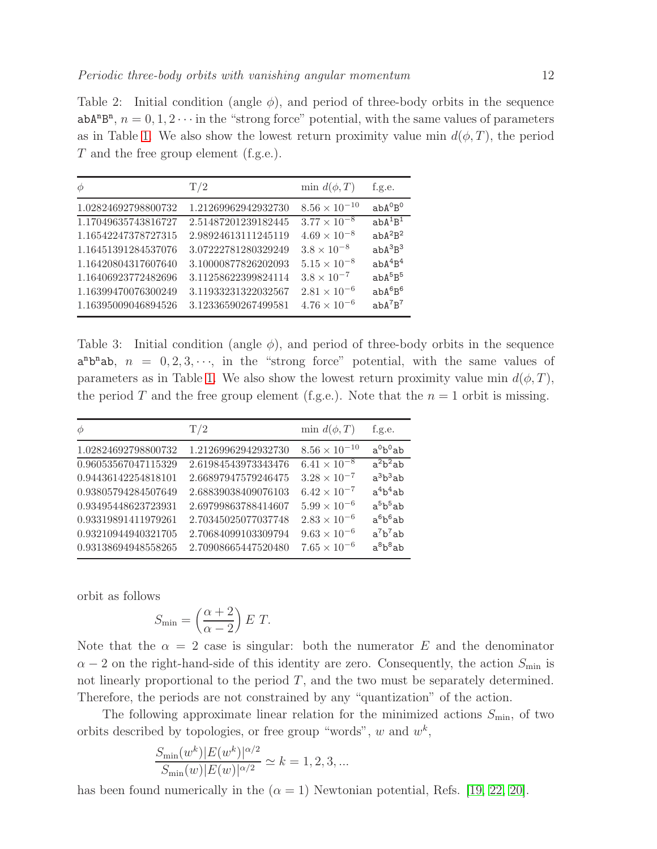<span id="page-11-0"></span>Table 2: Initial condition (angle  $\phi$ ), and period of three-body orbits in the sequence  $abA^{n}B^{n}$ ,  $n = 0, 1, 2 \cdots$  in the "strong force" potential, with the same values of parameters as in Table [1.](#page-10-1) We also show the lowest return proximity value min  $d(\phi, T)$ , the period T and the free group element (f.g.e.).

| $\phi$              | T/2                 | min $d(\phi,T)$                 | f.g.e.                          |
|---------------------|---------------------|---------------------------------|---------------------------------|
| 1.02824692798800732 | 1.21269962942932730 | $8.56 \times 10^{-10}$          | $a b A^{0} B^{0}$               |
| 1.17049635743816727 | 2.51487201239182445 | $\frac{3.77 \times 10^{-8}}{2}$ | $abA^{1}B^{1}$                  |
| 1.16542247378727315 | 2.98924613111245119 | $4.69 \times 10^{-8}$           | $abA^2B^2$                      |
| 1.16451391284537076 | 3.07222781280329249 | $3.8 \times 10^{-8}$            | $abA^3B^3$                      |
| 1.16420804317607640 | 3.10000877826202093 | $5.15 \times 10^{-8}$           | abA <sup>4</sup> B <sup>4</sup> |
| 1.16406923772482696 | 3.11258622399824114 | $3.8 \times 10^{-7}$            | $abA^{5}B^{5}$                  |
| 1.16399470076300249 | 3.11933231322032567 | $2.81 \times 10^{-6}$           | $abA^6B^6$                      |
| 1.16395009046894526 | 3.12336590267499581 | $4.76 \times 10^{-6}$           | $a hA^7B^7$                     |

<span id="page-11-1"></span>Table 3: Initial condition (angle  $\phi$ ), and period of three-body orbits in the sequence  $a^nb^nab$ ,  $n = 0, 2, 3, \dots$ , in the "strong force" potential, with the same values of parameters as in Table [1.](#page-10-1) We also show the lowest return proximity value min  $d(\phi, T)$ , the period T and the free group element (f.g.e.). Note that the  $n = 1$  orbit is missing.

| $\phi$              | T/2                 | min $d(\phi,T)$        | f.g.e.     |
|---------------------|---------------------|------------------------|------------|
| 1.02824692798800732 | 1.21269962942932730 | $8.56 \times 10^{-10}$ | $a^0b^0ab$ |
| 0.96053567047115329 | 2.61984543973343476 | $6.41 \times 10^{-8}$  | $a^2b^2ab$ |
| 0.94436142254818101 | 2.66897947579246475 | $3.28 \times 10^{-7}$  | $a^3b^3ab$ |
| 0.93805794284507649 | 2.68839038409076103 | $6.42 \times 10^{-7}$  | $a^4b^4ab$ |
| 0.93495448623723931 | 2.69799863788414607 | $5.99 \times 10^{-6}$  | $a^5b^5ab$ |
| 0.93319891411979261 | 2.70345025077037748 | $2.83 \times 10^{-6}$  | $a^6b^6ab$ |
| 0.93210944940321705 | 2.70684099103309794 | $9.63\times10^{-6}$    | $a^7b^7ab$ |
| 0.93138694948558265 | 2.70908665447520480 | $7.65 \times 10^{-6}$  | $a^8b^8ab$ |

orbit as follows

$$
S_{\min} = \left(\frac{\alpha + 2}{\alpha - 2}\right) E T.
$$

Note that the  $\alpha = 2$  case is singular: both the numerator E and the denominator  $\alpha - 2$  on the right-hand-side of this identity are zero. Consequently, the action  $S_{\text{min}}$  is not linearly proportional to the period  $T$ , and the two must be separately determined. Therefore, the periods are not constrained by any "quantization" of the action.

The following approximate linear relation for the minimized actions  $S_{\text{min}}$ , of two orbits described by topologies, or free group "words",  $w$  and  $w^k$ ,

$$
\frac{S_{\min}(w^k)|E(w^k)|^{\alpha/2}}{S_{\min}(w)|E(w)|^{\alpha/2}} \simeq k = 1, 2, 3, ...
$$

has been found numerically in the  $(\alpha = 1)$  Newtonian potential, Refs. [\[19,](#page-27-7) [22,](#page-27-11) [20\]](#page-27-8).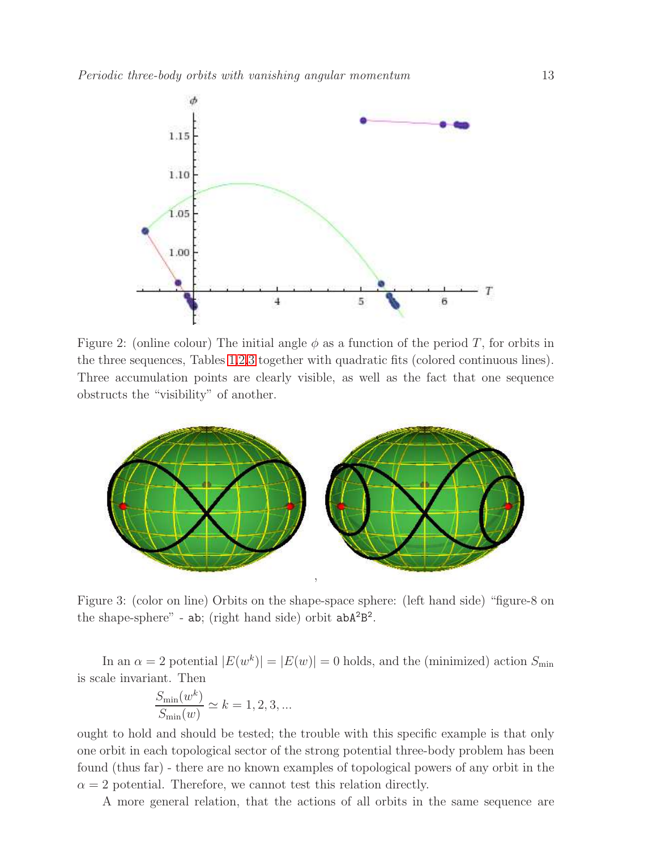<span id="page-12-0"></span>

Figure 2: (online colour) The initial angle  $\phi$  as a function of the period T, for orbits in the three sequences, Tables [1](#page-10-1)[,2,](#page-11-0)[3](#page-11-1) together with quadratic fits (colored continuous lines). Three accumulation points are clearly visible, as well as the fact that one sequence obstructs the "visibility" of another.

<span id="page-12-1"></span>

Figure 3: (color on line) Orbits on the shape-space sphere: (left hand side) "figure-8 on the shape-sphere" -  $ab$ ; (right hand side) orbit  $abA^2B^2$ .

In an  $\alpha = 2$  potential  $|E(w^k)| = |E(w)| = 0$  holds, and the (minimized) action  $S_{\text{min}}$ is scale invariant. Then

$$
\frac{S_{\min}(w^k)}{S_{\min}(w)} \simeq k = 1, 2, 3, \ldots
$$

ought to hold and should be tested; the trouble with this specific example is that only one orbit in each topological sector of the strong potential three-body problem has been found (thus far) - there are no known examples of topological powers of any orbit in the  $\alpha = 2$  potential. Therefore, we cannot test this relation directly.

A more general relation, that the actions of all orbits in the same sequence are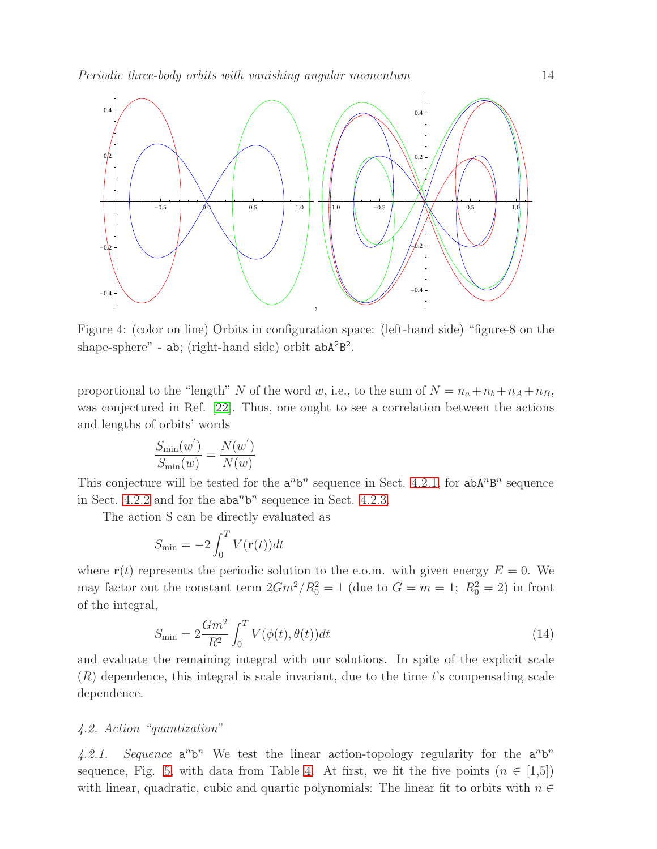<span id="page-13-0"></span>

Figure 4: (color on line) Orbits in configuration space: (left-hand side) "figure-8 on the shape-sphere" - ab; (right-hand side) orbit abA<sup>2</sup>B<sup>2</sup>.

proportional to the "length" N of the word w, i.e., to the sum of  $N = n_a + n_b + n_A + n_B$ , was conjectured in Ref. [\[22\]](#page-27-11). Thus, one ought to see a correlation between the actions and lengths of orbits' words

$$
\frac{S_{\min}(w')}{S_{\min}(w)} = \frac{N(w')}{N(w)}
$$

This conjecture will be tested for the  $a^n b^n$  sequence in Sect. [4.2.1,](#page-13-1) for  $a b A^n B^n$  sequence in Sect. [4.2.2](#page-14-0) and for the  $aba^n b^n$  sequence in Sect. [4.2.3.](#page-15-0)

The action S can be directly evaluated as

$$
S_{\min} = -2 \int_0^T V(\mathbf{r}(t)) dt
$$

where  $\mathbf{r}(t)$  represents the periodic solution to the e.o.m. with given energy  $E = 0$ . We may factor out the constant term  $2Gm^2/R_0^2 = 1$  (due to  $G = m = 1$ ;  $R_0^2 = 2$ ) in front of the integral,

<span id="page-13-2"></span>
$$
S_{\min} = 2 \frac{Gm^2}{R^2} \int_0^T V(\phi(t), \theta(t)) dt
$$
\n(14)

and evaluate the remaining integral with our solutions. In spite of the explicit scale  $(R)$  dependence, this integral is scale invariant, due to the time t's compensating scale dependence.

## <span id="page-13-1"></span>4.2. Action "quantization"

4.2.1. Sequence  $a^n b^n$  We test the linear action-topology regularity for the  $a^n b^n$ sequence, Fig. [5,](#page-15-1) with data from Table [4.](#page-14-1) At first, we fit the five points  $(n \in [1,5])$ with linear, quadratic, cubic and quartic polynomials: The linear fit to orbits with  $n \in$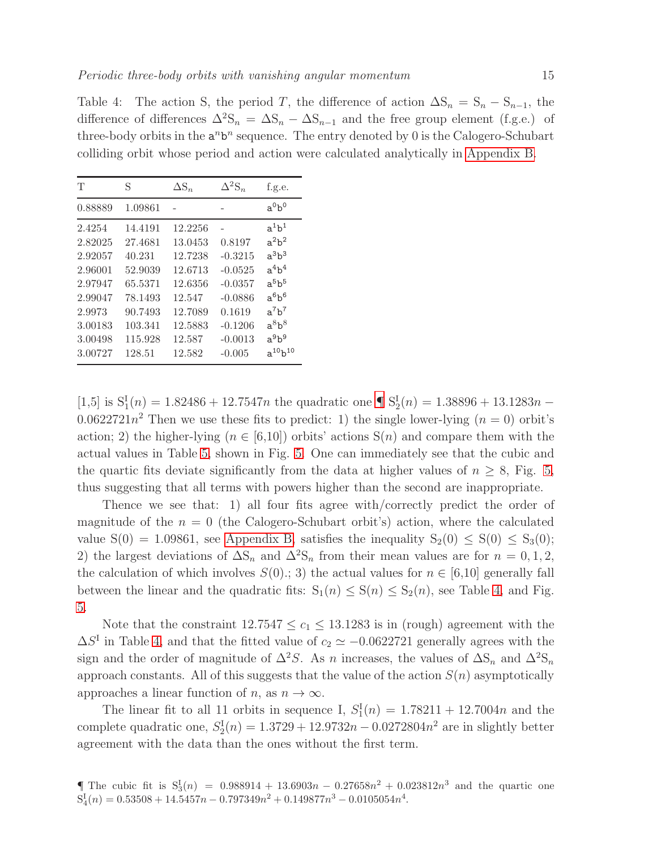<span id="page-14-1"></span>Table 4: The action S, the period T, the difference of action  $\Delta S_n = S_n - S_{n-1}$ , the difference of differences  $\Delta^2 S_n = \Delta S_n - \Delta S_{n-1}$  and the free group element (f.g.e.) of three-body orbits in the  $a^n b^n$  sequence. The entry denoted by 0 is the Calogero-Schubart colliding orbit whose period and action were calculated analytically in [Appendix B.](#page-21-0)

| Т                                                                                                        | S                                                                                                        | $\Delta S_n$                                                                                            | $\Delta^2$ S <sub>n</sub>                                                                                  | f.g.e.                                                                                                                     |
|----------------------------------------------------------------------------------------------------------|----------------------------------------------------------------------------------------------------------|---------------------------------------------------------------------------------------------------------|------------------------------------------------------------------------------------------------------------|----------------------------------------------------------------------------------------------------------------------------|
| 0.88889                                                                                                  | 1.09861                                                                                                  |                                                                                                         |                                                                                                            | $a^0b^0$                                                                                                                   |
| 2.4254<br>2.82025<br>2.92057<br>2.96001<br>2.97947<br>2.99047<br>2.9973<br>3.00183<br>3.00498<br>3.00727 | 14.4191<br>27.4681<br>40.231<br>52.9039<br>65.5371<br>78.1493<br>90.7493<br>103.341<br>115.928<br>128.51 | 12.2256<br>13.0453<br>12.7238<br>12.6713<br>12.6356<br>12.547<br>12.7089<br>12.5883<br>12.587<br>12.582 | 0.8197<br>$-0.3215$<br>$-0.0525$<br>$-0.0357$<br>$-0.0886$<br>0.1619<br>$-0.1206$<br>$-0.0013$<br>$-0.005$ | $a^1b^1$<br>$a^2b^2$<br>$a^3b^3$<br>$a^4b^4$<br>$a^5b^5$<br>$a^6b^6$<br>$a^7b^7$<br>$a^8b^8$<br>$a^9b^9$<br>$a^{10}b^{10}$ |

[1,5] is  $S_1^I(n) = 1.82486 + 12.7547n$  the quadratic one  $\P S_2^I(n) = 1.38896 + 13.1283n$  – 0.0622721 $n^2$  Then we use these fits to predict: 1) the single lower-lying  $(n = 0)$  orbit's action; 2) the higher-lying ( $n \in [6,10]$ ) orbits' actions  $S(n)$  and compare them with the actual values in Table [5,](#page-15-2) shown in Fig. [5.](#page-15-1) One can immediately see that the cubic and the quartic fits deviate significantly from the data at higher values of  $n \geq 8$ , Fig. [5,](#page-15-1) thus suggesting that all terms with powers higher than the second are inappropriate.

Thence we see that: 1) all four fits agree with/correctly predict the order of magnitude of the  $n = 0$  (the Calogero-Schubart orbit's) action, where the calculated value  $S(0) = 1.09861$ , see [Appendix B,](#page-21-0) satisfies the inequality  $S_2(0) \leq S(0) \leq S_3(0)$ ; 2) the largest deviations of  $\Delta S_n$  and  $\Delta^2 S_n$  from their mean values are for  $n = 0, 1, 2$ , the calculation of which involves  $S(0)$ ; 3) the actual values for  $n \in [6,10]$  generally fall between the linear and the quadratic fits:  $S_1(n) \leq S(n) \leq S_2(n)$ , see Table [4,](#page-14-1) and Fig. [5.](#page-15-1)

Note that the constraint  $12.7547 \le c_1 \le 13.1283$  is in (rough) agreement with the  $\Delta S^{\text{I}}$  in Table [4,](#page-14-1) and that the fitted value of  $c_2 \simeq -0.0622721$  generally agrees with the sign and the order of magnitude of  $\Delta^2 S$ . As n increases, the values of  $\Delta S_n$  and  $\Delta^2 S_n$ approach constants. All of this suggests that the value of the action  $S(n)$  asymptotically approaches a linear function of n, as  $n \to \infty$ .

The linear fit to all 11 orbits in sequence I,  $S_1^{\text{I}}(n) = 1.78211 + 12.7004n$  and the complete quadratic one,  $S_2^{\text{I}}(n) = 1.3729 + 12.9732n - 0.0272804n^2$  are in slightly better agreement with the data than the ones without the first term.

<span id="page-14-2"></span><span id="page-14-0"></span>**<sup>[</sup>**The cubic fit is  $S_3^I(n) = 0.988914 + 13.6903n - 0.27658n^2 + 0.023812n^3$  and the quartic one  $S_4^I(n) = 0.53508 + 14.5457n - 0.797349n^2 + 0.149877n^3 - 0.0105054n^4.$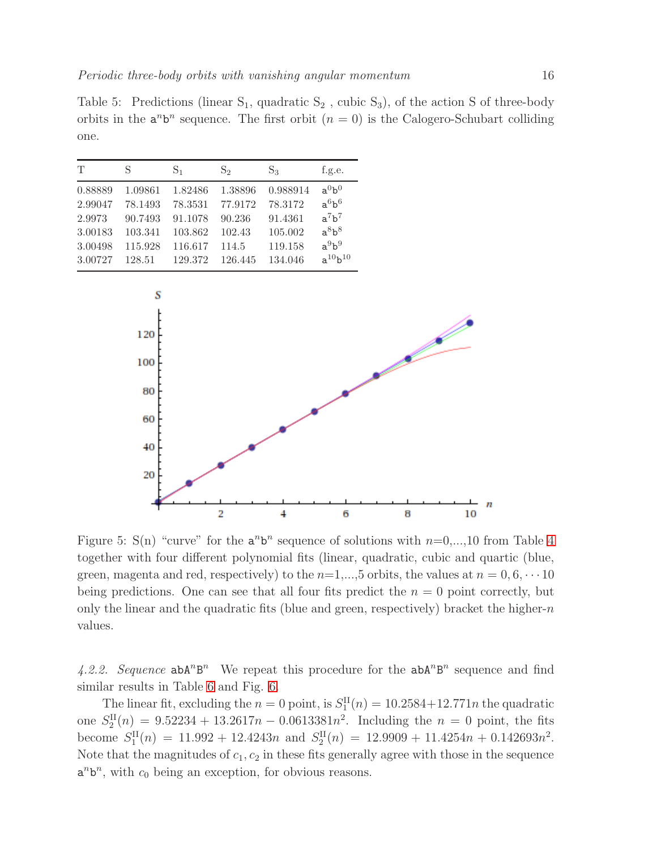<span id="page-15-2"></span>Table 5: Predictions (linear  $S_1$ , quadratic  $S_2$ , cubic  $S_3$ ), of the action S of three-body orbits in the  $a^n b^n$  sequence. The first orbit  $(n = 0)$  is the Calogero-Schubart colliding one.

| T       | S       | S <sub>1</sub> | $S_2$   | $S_3$    | f.g.e.         |
|---------|---------|----------------|---------|----------|----------------|
| 0.88889 | 1.09861 | 1.82486        | 1.38896 | 0.988914 | $a^0b^0$       |
| 2.99047 | 78.1493 | 78.3531        | 77.9172 | 78.3172  | $a^6b^6$       |
| 2.9973  | 90.7493 | 91.1078        | 90.236  | 91.4361  | $a^7b^7$       |
| 3.00183 | 103.341 | 103.862        | 102.43  | 105.002  | $a^8b^8$       |
| 3.00498 | 115.928 | 116.617        | 114.5   | 119.158  | $a^9b^9$       |
| 3.00727 | 128.51  | 129.372        | 126.445 | 134.046  | $a^{10}b^{10}$ |

<span id="page-15-1"></span>

Figure 5: S(n) "curve" for the  $a^n b^n$  sequence of solutions with  $n=0,\ldots,10$  from Table [4](#page-14-1) together with four different polynomial fits (linear, quadratic, cubic and quartic (blue, green, magenta and red, respectively) to the  $n=1,\ldots,5$  orbits, the values at  $n=0,6,\cdots,10$ being predictions. One can see that all four fits predict the  $n = 0$  point correctly, but only the linear and the quadratic fits (blue and green, respectively) bracket the higher- $n$ values.

4.2.2. Sequence  $abA^nB^n$  We repeat this procedure for the  $abA^nB^n$  sequence and find similar results in Table [6](#page-16-0) and Fig. [6.](#page-16-1)

<span id="page-15-0"></span>The linear fit, excluding the  $n = 0$  point, is  $S_1^{\text{II}}(n) = 10.2584 + 12.771n$  the quadratic one  $S_2^{\text{II}}(n) = 9.52234 + 13.2617n - 0.0613381n^2$ . Including the  $n = 0$  point, the fits become  $S_1^{\text{II}}(n) = 11.992 + 12.4243n$  and  $S_2^{\text{II}}(n) = 12.9909 + 11.4254n + 0.142693n^2$ . Note that the magnitudes of  $c_1, c_2$  in these fits generally agree with those in the sequence  $a^n b^n$ , with  $c_0$  being an exception, for obvious reasons.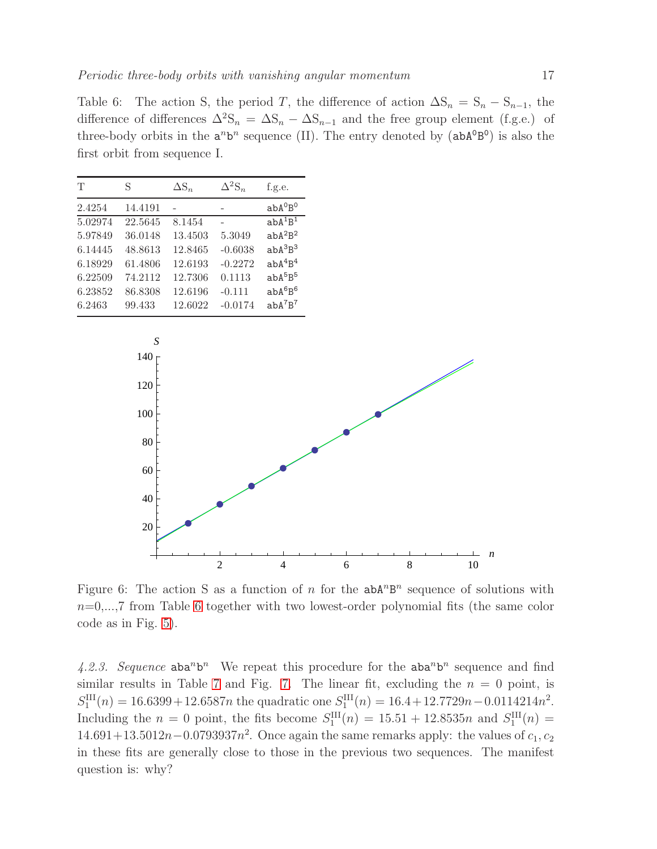<span id="page-16-0"></span>Table 6: The action S, the period T, the difference of action  $\Delta S_n = S_n - S_{n-1}$ , the difference of differences  $\Delta^2 S_n = \Delta S_n - \Delta S_{n-1}$  and the free group element (f.g.e.) of three-body orbits in the  $a^n b^n$  sequence (II). The entry denoted by  $(a b A^0 B^0)$  is also the first orbit from sequence I.

| Т       | S       | $\Delta S_n$ | $\Delta^2$ S <sub>n</sub> | f.g.e.                          |
|---------|---------|--------------|---------------------------|---------------------------------|
| 2.4254  | 14.4191 |              |                           | $abA^0B^0$                      |
| 5.02974 | 22.5645 | 8.1454       |                           | $abA^{1}B^{1}$                  |
| 5.97849 | 36.0148 | 13.4503      | 5.3049                    | $abA^2B^2$                      |
| 6.14445 | 48.8613 | 12.8465      | $-0.6038$                 | $abA^3B^3$                      |
| 6.18929 | 61.4806 | 12.6193      | $-0.2272$                 | abA <sup>4</sup> B <sup>4</sup> |
| 6.22509 | 74.2112 | 12.7306      | 0.1113                    | $abA^{5}B^{5}$                  |
| 6.23852 | 86.8308 | 12.6196      | $-0.111$                  | $abA^{6}B^{6}$                  |
| 6.2463  | 99.433  | 12.6022      | $-0.0174$                 | $abA^7B^7$                      |

<span id="page-16-1"></span>

Figure 6: The action S as a function of n for the  $abA^nB^n$  sequence of solutions with  $n=0,\ldots,7$  from Table [6](#page-16-0) together with two lowest-order polynomial fits (the same color code as in Fig. [5\)](#page-15-1).

4.2.3. Sequence  $aba^n b^n$  We repeat this procedure for the  $aba^n b^n$  sequence and find similar results in Table [7](#page-17-1) and Fig. [7.](#page-17-2) The linear fit, excluding the  $n = 0$  point, is  $S_1^{\text{III}}(n) = 16.6399 + 12.6587n$  the quadratic one  $S_1^{\text{III}}(n) = 16.4 + 12.7729n - 0.0114214n^2$ . Including the  $n = 0$  point, the fits become  $S_1^{\text{III}}(n) = 15.51 + 12.8535n$  and  $S_1^{\text{III}}(n) =$  $14.691+13.5012n-0.0793937n^2$ . Once again the same remarks apply: the values of  $c_1, c_2$ in these fits are generally close to those in the previous two sequences. The manifest question is: why?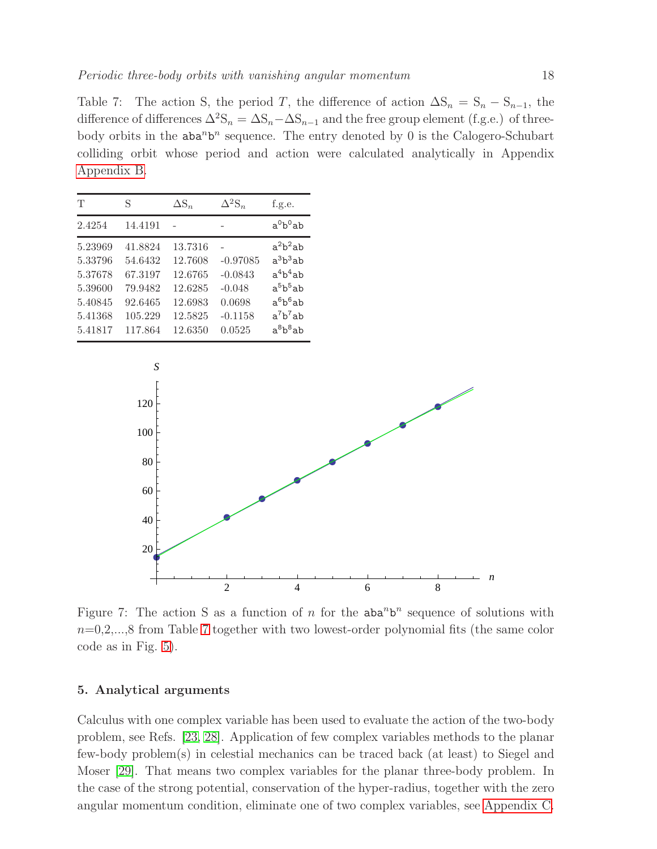<span id="page-17-1"></span>Table 7: The action S, the period T, the difference of action  $\Delta S_n = S_n - S_{n-1}$ , the difference of differences  $\Delta^2 S_n = \Delta S_n - \Delta S_{n-1}$  and the free group element (f.g.e.) of threebody orbits in the  $aba^n b^n$  sequence. The entry denoted by 0 is the Calogero-Schubart colliding orbit whose period and action were calculated analytically in Appendix [Appendix B.](#page-21-0)

| T                                                                         | S                                                                         | $\Delta S_n$                                                              | $\Delta^2$ S <sub>n</sub>                                            | f.g.e.                                                                                         |
|---------------------------------------------------------------------------|---------------------------------------------------------------------------|---------------------------------------------------------------------------|----------------------------------------------------------------------|------------------------------------------------------------------------------------------------|
| 2.4254                                                                    | 14.4191                                                                   |                                                                           |                                                                      | $a^0b^0$ ab                                                                                    |
| 5.23969<br>5.33796<br>5.37678<br>5.39600<br>5.40845<br>5.41368<br>5.41817 | 41.8824<br>54.6432<br>67.3197<br>79.9482<br>92.6465<br>105.229<br>117.864 | 13.7316<br>12.7608<br>12.6765<br>12.6285<br>12.6983<br>12.5825<br>12.6350 | $-0.97085$<br>$-0.0843$<br>$-0.048$<br>0.0698<br>$-0.1158$<br>0.0525 | $a^2b^2ab$<br>$a^3b^3ab$<br>$a^4b^4ab$<br>$a^5b^5ab$<br>$a^6b^6ab$<br>$a^7b^7ab$<br>$a^8b^8ab$ |

<span id="page-17-2"></span>

Figure 7: The action S as a function of n for the  $aba^n b^n$  sequence of solutions with  $n=0,2,...,8$  from Table [7](#page-17-1) together with two lowest-order polynomial fits (the same color code as in Fig. [5\)](#page-15-1).

## <span id="page-17-0"></span>5. Analytical arguments

Calculus with one complex variable has been used to evaluate the action of the two-body problem, see Refs. [\[23,](#page-27-12) [28\]](#page-27-17). Application of few complex variables methods to the planar few-body problem(s) in celestial mechanics can be traced back (at least) to Siegel and Moser [\[29\]](#page-27-18). That means two complex variables for the planar three-body problem. In the case of the strong potential, conservation of the hyper-radius, together with the zero angular momentum condition, eliminate one of two complex variables, see [Appendix C.](#page-25-0)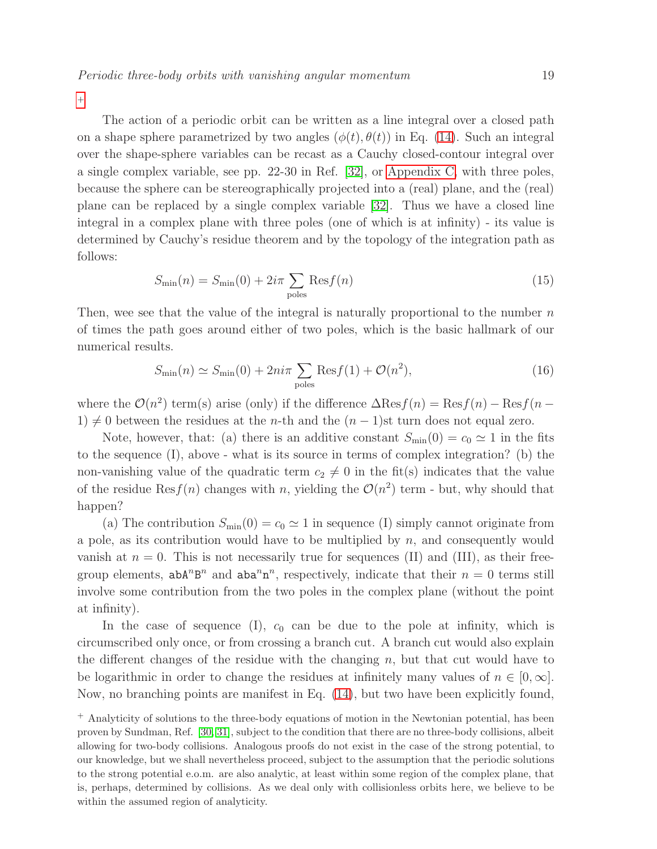$+$ 

The action of a periodic orbit can be written as a line integral over a closed path on a shape sphere parametrized by two angles  $(\phi(t), \theta(t))$  in Eq. [\(14\)](#page-13-2). Such an integral over the shape-sphere variables can be recast as a Cauchy closed-contour integral over a single complex variable, see pp. 22-30 in Ref. [\[32\]](#page-27-19), or [Appendix C,](#page-25-0) with three poles, because the sphere can be stereographically projected into a (real) plane, and the (real) plane can be replaced by a single complex variable [\[32\]](#page-27-19). Thus we have a closed line integral in a complex plane with three poles (one of which is at infinity) - its value is determined by Cauchy's residue theorem and by the topology of the integration path as follows:

$$
S_{\min}(n) = S_{\min}(0) + 2i\pi \sum_{\text{poles}} \text{Res} f(n)
$$
\n(15)

Then, wee see that the value of the integral is naturally proportional to the number  $n$ of times the path goes around either of two poles, which is the basic hallmark of our numerical results.

$$
S_{\min}(n) \simeq S_{\min}(0) + 2ni\pi \sum_{\text{poles}} \text{Res} f(1) + \mathcal{O}(n^2),\tag{16}
$$

where the  $\mathcal{O}(n^2)$  term(s) arise (only) if the difference  $\Delta \text{Res} f(n) = \text{Res} f(n) - \text{Res} f(n -$ 1)  $\neq$  0 between the residues at the *n*-th and the  $(n - 1)$ st turn does not equal zero.

Note, however, that: (a) there is an additive constant  $S_{\text{min}}(0) = c_0 \approx 1$  in the fits to the sequence (I), above - what is its source in terms of complex integration? (b) the non-vanishing value of the quadratic term  $c_2 \neq 0$  in the fit(s) indicates that the value of the residue  $\text{Res}(n)$  changes with n, yielding the  $\mathcal{O}(n^2)$  term - but, why should that happen?

(a) The contribution  $S_{\text{min}}(0) = c_0 \approx 1$  in sequence (I) simply cannot originate from a pole, as its contribution would have to be multiplied by  $n$ , and consequently would vanish at  $n = 0$ . This is not necessarily true for sequences (II) and (III), as their freegroup elements,  $abA^nB^n$  and  $aba^nn^n$ , respectively, indicate that their  $n=0$  terms still involve some contribution from the two poles in the complex plane (without the point at infinity).

In the case of sequence (I),  $c_0$  can be due to the pole at infinity, which is circumscribed only once, or from crossing a branch cut. A branch cut would also explain the different changes of the residue with the changing  $n$ , but that cut would have to be logarithmic in order to change the residues at infinitely many values of  $n \in [0,\infty]$ . Now, no branching points are manifest in Eq. [\(14\)](#page-13-2), but two have been explicitly found,

<span id="page-18-0"></span><sup>+</sup> Analyticity of solutions to the three-body equations of motion in the Newtonian potential, has been proven by Sundman, Ref. [\[30,](#page-27-20) [31\]](#page-27-21), subject to the condition that there are no three-body collisions, albeit allowing for two-body collisions. Analogous proofs do not exist in the case of the strong potential, to our knowledge, but we shall nevertheless proceed, subject to the assumption that the periodic solutions to the strong potential e.o.m. are also analytic, at least within some region of the complex plane, that is, perhaps, determined by collisions. As we deal only with collisionless orbits here, we believe to be within the assumed region of analyticity.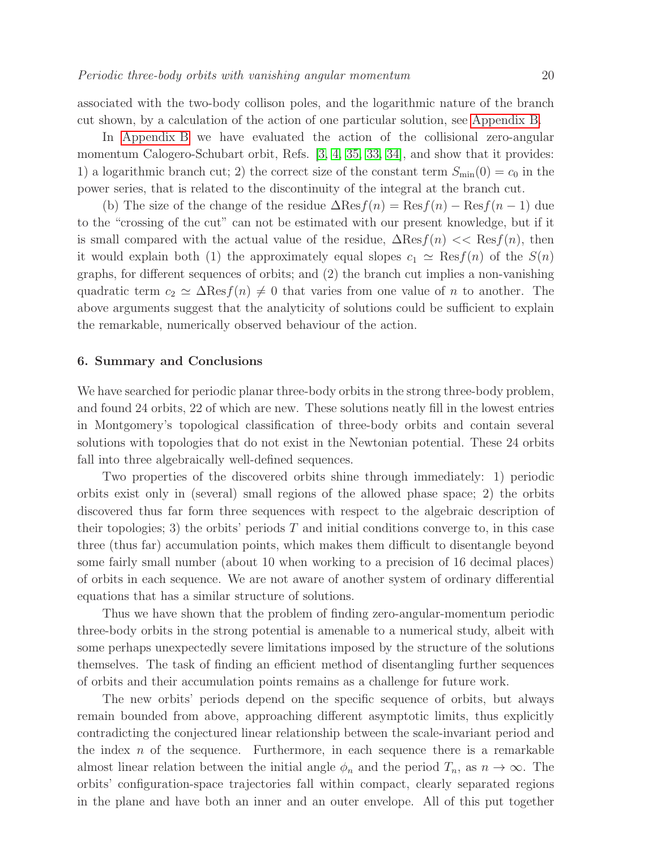associated with the two-body collison poles, and the logarithmic nature of the branch cut shown, by a calculation of the action of one particular solution, see [Appendix B.](#page-21-0)

In [Appendix B](#page-21-0) we have evaluated the action of the collisional zero-angular momentum Calogero-Schubart orbit, Refs. [\[3,](#page-26-4) [4,](#page-26-5) [35,](#page-27-22) [33,](#page-27-23) [34\]](#page-27-24), and show that it provides: 1) a logarithmic branch cut; 2) the correct size of the constant term  $S_{\text{min}}(0) = c_0$  in the power series, that is related to the discontinuity of the integral at the branch cut.

(b) The size of the change of the residue  $\Delta$ Res $f(n) = \text{Res}f(n) - \text{Res}f(n-1)$  due to the "crossing of the cut" can not be estimated with our present knowledge, but if it is small compared with the actual value of the residue,  $\Delta \text{Res}_f(n) \ll \text{Res}_f(n)$ , then it would explain both (1) the approximately equal slopes  $c_1 \simeq \text{Res}(n)$  of the  $S(n)$ graphs, for different sequences of orbits; and (2) the branch cut implies a non-vanishing quadratic term  $c_2 \simeq \Delta \text{Res}(n) \neq 0$  that varies from one value of n to another. The above arguments suggest that the analyticity of solutions could be sufficient to explain the remarkable, numerically observed behaviour of the action.

#### <span id="page-19-0"></span>6. Summary and Conclusions

We have searched for periodic planar three-body orbits in the strong three-body problem, and found 24 orbits, 22 of which are new. These solutions neatly fill in the lowest entries in Montgomery's topological classification of three-body orbits and contain several solutions with topologies that do not exist in the Newtonian potential. These 24 orbits fall into three algebraically well-defined sequences.

Two properties of the discovered orbits shine through immediately: 1) periodic orbits exist only in (several) small regions of the allowed phase space; 2) the orbits discovered thus far form three sequences with respect to the algebraic description of their topologies; 3) the orbits' periods  $T$  and initial conditions converge to, in this case three (thus far) accumulation points, which makes them difficult to disentangle beyond some fairly small number (about 10 when working to a precision of 16 decimal places) of orbits in each sequence. We are not aware of another system of ordinary differential equations that has a similar structure of solutions.

Thus we have shown that the problem of finding zero-angular-momentum periodic three-body orbits in the strong potential is amenable to a numerical study, albeit with some perhaps unexpectedly severe limitations imposed by the structure of the solutions themselves. The task of finding an efficient method of disentangling further sequences of orbits and their accumulation points remains as a challenge for future work.

The new orbits' periods depend on the specific sequence of orbits, but always remain bounded from above, approaching different asymptotic limits, thus explicitly contradicting the conjectured linear relationship between the scale-invariant period and the index  $n$  of the sequence. Furthermore, in each sequence there is a remarkable almost linear relation between the initial angle  $\phi_n$  and the period  $T_n$ , as  $n \to \infty$ . The orbits' configuration-space trajectories fall within compact, clearly separated regions in the plane and have both an inner and an outer envelope. All of this put together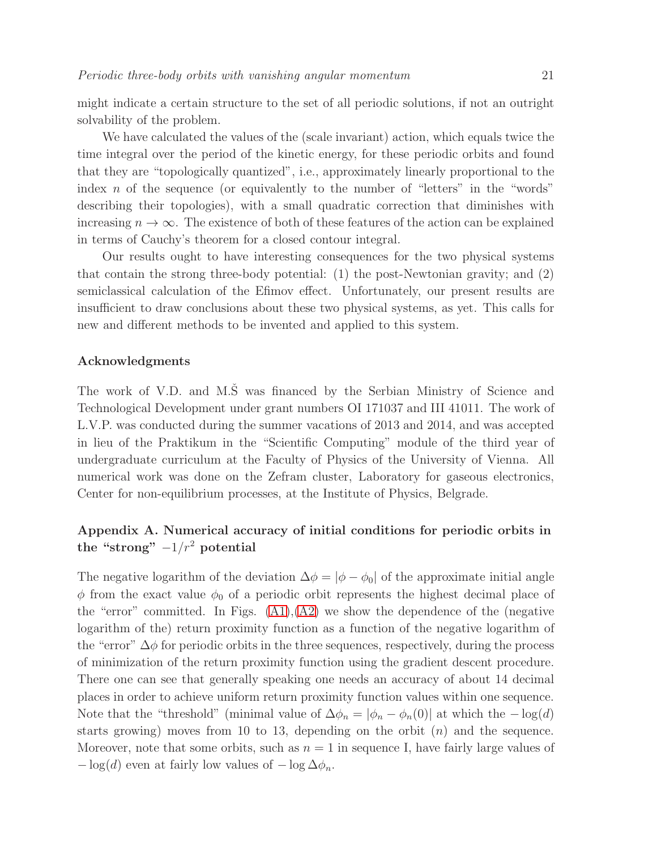might indicate a certain structure to the set of all periodic solutions, if not an outright solvability of the problem.

We have calculated the values of the (scale invariant) action, which equals twice the time integral over the period of the kinetic energy, for these periodic orbits and found that they are "topologically quantized", i.e., approximately linearly proportional to the index  $n$  of the sequence (or equivalently to the number of "letters" in the "words" describing their topologies), with a small quadratic correction that diminishes with increasing  $n \to \infty$ . The existence of both of these features of the action can be explained in terms of Cauchy's theorem for a closed contour integral.

Our results ought to have interesting consequences for the two physical systems that contain the strong three-body potential: (1) the post-Newtonian gravity; and (2) semiclassical calculation of the Efimov effect. Unfortunately, our present results are insufficient to draw conclusions about these two physical systems, as yet. This calls for new and different methods to be invented and applied to this system.

# Acknowledgments

The work of V.D. and M.S was financed by the Serbian Ministry of Science and Technological Development under grant numbers OI 171037 and III 41011. The work of L.V.P. was conducted during the summer vacations of 2013 and 2014, and was accepted in lieu of the Praktikum in the "Scientific Computing" module of the third year of undergraduate curriculum at the Faculty of Physics of the University of Vienna. All numerical work was done on the Zefram cluster, Laboratory for gaseous electronics, Center for non-equilibrium processes, at the Institute of Physics, Belgrade.

# <span id="page-20-0"></span>Appendix A. Numerical accuracy of initial conditions for periodic orbits in the "strong"  $-1/r^2$  potential

The negative logarithm of the deviation  $\Delta \phi = |\phi - \phi_0|$  of the approximate initial angle  $\phi$  from the exact value  $\phi_0$  of a periodic orbit represents the highest decimal place of the "error" committed. In Figs.  $(A1), (A2)$  $(A1), (A2)$  we show the dependence of the (negative logarithm of the) return proximity function as a function of the negative logarithm of the "error"  $\Delta\phi$  for periodic orbits in the three sequences, respectively, during the process of minimization of the return proximity function using the gradient descent procedure. There one can see that generally speaking one needs an accuracy of about 14 decimal places in order to achieve uniform return proximity function values within one sequence. Note that the "threshold" (minimal value of  $\Delta \phi_n = |\phi_n - \phi_n(0)|$  at which the  $-\log(d)$ starts growing) moves from 10 to 13, depending on the orbit  $(n)$  and the sequence. Moreover, note that some orbits, such as  $n = 1$  in sequence I, have fairly large values of  $-\log(d)$  even at fairly low values of  $-\log \Delta \phi_n$ .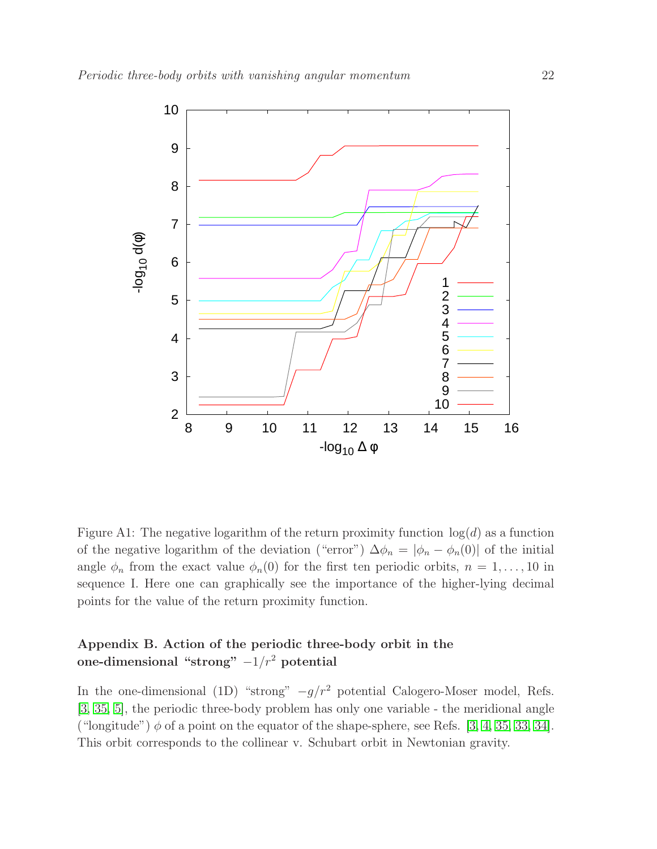<span id="page-21-1"></span>

Figure A1: The negative logarithm of the return proximity function  $log(d)$  as a function of the negative logarithm of the deviation ("error")  $\Delta \phi_n = |\phi_n - \phi_n(0)|$  of the initial angle  $\phi_n$  from the exact value  $\phi_n(0)$  for the first ten periodic orbits,  $n = 1, \ldots, 10$  in sequence I. Here one can graphically see the importance of the higher-lying decimal points for the value of the return proximity function.

# <span id="page-21-0"></span>Appendix B. Action of the periodic three-body orbit in the one-dimensional "strong"  $-1/r^2$  potential

In the one-dimensional (1D) "strong"  $-g/r^2$  potential Calogero-Moser model, Refs. [\[3,](#page-26-4) [35,](#page-27-22) [5\]](#page-26-6), the periodic three-body problem has only one variable - the meridional angle ("longitude")  $\phi$  of a point on the equator of the shape-sphere, see Refs. [\[3,](#page-26-4) [4,](#page-26-5) [35,](#page-27-22) [33,](#page-27-23) [34\]](#page-27-24). This orbit corresponds to the collinear v. Schubart orbit in Newtonian gravity.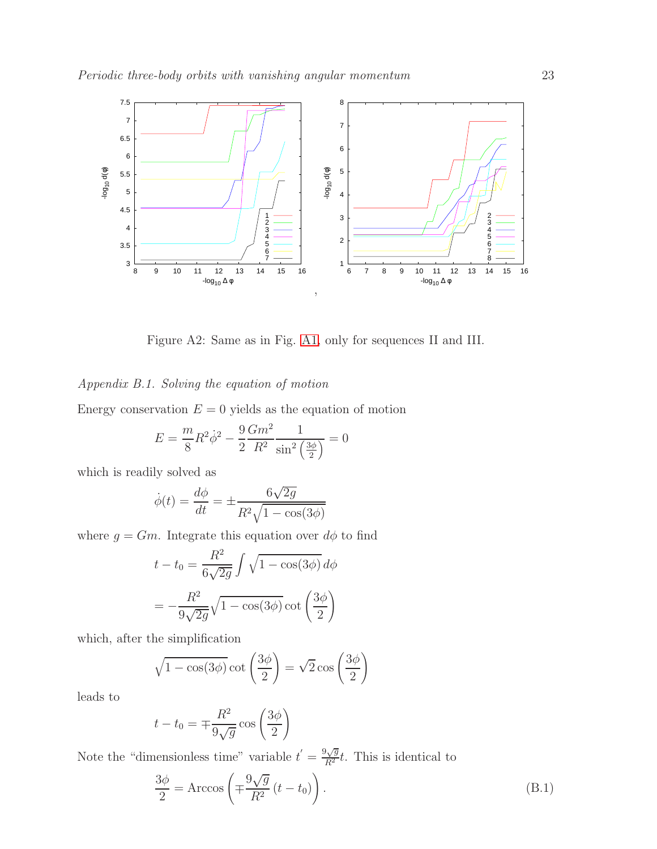<span id="page-22-0"></span>

Figure A2: Same as in Fig. [A1,](#page-21-1) only for sequences II and III.

# Appendix B.1. Solving the equation of motion

Energy conservation  $E = 0$  yields as the equation of motion

$$
E = \frac{m}{8}R^2\dot{\phi}^2 - \frac{9}{2}\frac{Gm^2}{R^2}\frac{1}{\sin^2\left(\frac{3\phi}{2}\right)} = 0
$$

which is readily solved as

$$
\dot{\phi}(t) = \frac{d\phi}{dt} = \pm \frac{6\sqrt{2g}}{R^2\sqrt{1 - \cos(3\phi)}}
$$

where  $g = Gm$ . Integrate this equation over  $d\phi$  to find

$$
t - t_0 = \frac{R^2}{6\sqrt{2g}} \int \sqrt{1 - \cos(3\phi)} d\phi
$$

$$
= -\frac{R^2}{9\sqrt{2g}} \sqrt{1 - \cos(3\phi)} \cot\left(\frac{3\phi}{2}\right)
$$

which, after the simplification

$$
\sqrt{1 - \cos(3\phi)} \cot\left(\frac{3\phi}{2}\right) = \sqrt{2} \cos\left(\frac{3\phi}{2}\right)
$$

leads to

$$
t - t_0 = \mp \frac{R^2}{9\sqrt{g}} \cos\left(\frac{3\phi}{2}\right)
$$

Note the "dimensionless time" variable  $t' = \frac{9\sqrt{g}}{R^2}t$ . This is identical to

<span id="page-22-1"></span>
$$
\frac{3\phi}{2} = \text{Arccos}\left(\mp \frac{9\sqrt{g}}{R^2} \left(t - t_0\right)\right). \tag{B.1}
$$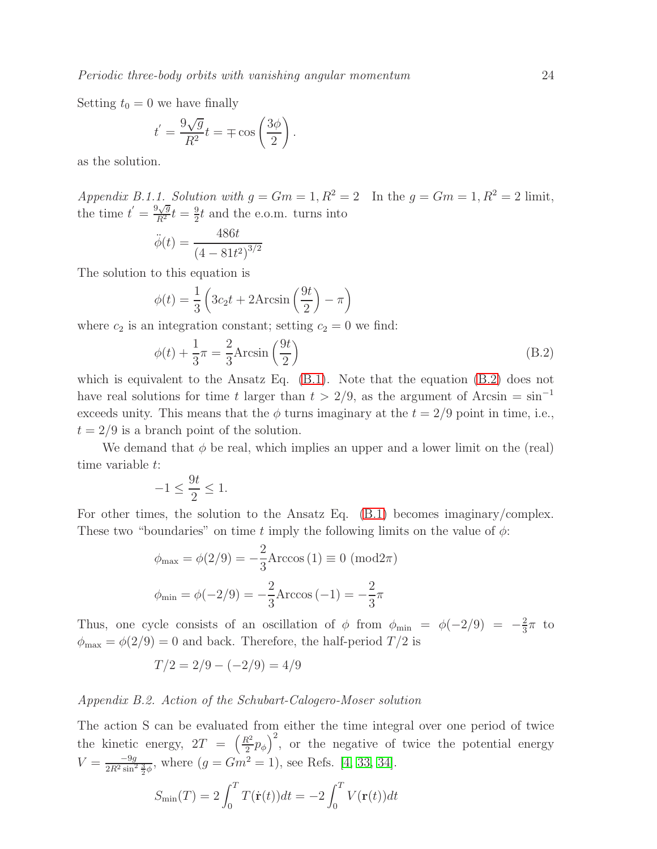Setting  $t_0 = 0$  we have finally

$$
t^{'} = \frac{9\sqrt{g}}{R^2}t = \mp \cos\left(\frac{3\phi}{2}\right).
$$

as the solution.

Appendix B.1.1. Solution with  $q = Gm = 1, R^2 = 2$  In the  $q = Gm = 1, R^2 = 2$  limit, the time  $t' = \frac{9\sqrt{g}}{R^2}t = \frac{9}{2}$  $\frac{9}{2}t$  and the e.o.m. turns into

$$
\ddot{\phi}(t) = \frac{486t}{\left(4 - 81t^2\right)^{3/2}}
$$

The solution to this equation is

$$
\phi(t) = \frac{1}{3} \left( 3c_2 t + 2 \text{Arcsin} \left( \frac{9t}{2} \right) - \pi \right)
$$

where  $c_2$  is an integration constant; setting  $c_2 = 0$  we find:

<span id="page-23-0"></span>
$$
\phi(t) + \frac{1}{3}\pi = \frac{2}{3}\text{Arcsin}\left(\frac{9t}{2}\right) \tag{B.2}
$$

which is equivalent to the Ansatz Eq. [\(B.1\)](#page-22-1). Note that the equation [\(B.2\)](#page-23-0) does not have real solutions for time t larger than  $t > 2/9$ , as the argument of Arcsin = sin<sup>-1</sup> exceeds unity. This means that the  $\phi$  turns imaginary at the  $t = 2/9$  point in time, i.e.,  $t = 2/9$  is a branch point of the solution.

We demand that  $\phi$  be real, which implies an upper and a lower limit on the (real) time variable t:

$$
-1 \le \frac{9t}{2} \le 1.
$$

For other times, the solution to the Ansatz Eq. [\(B.1\)](#page-22-1) becomes imaginary/complex. These two "boundaries" on time t imply the following limits on the value of  $\phi$ :

$$
\phi_{\text{max}} = \phi(2/9) = -\frac{2}{3} \text{Arccos}(1) \equiv 0 \pmod{2\pi}
$$
\n  
\n $\phi_{\text{min}} = \phi(-2/9) = -\frac{2}{3} \text{Arccos}(-1) = -\frac{2}{3}\pi$ 

Thus, one cycle consists of an oscillation of  $\phi$  from  $\phi_{\min} = \phi(-2/9) = -\frac{2}{3}$  $\frac{2}{3}\pi$  to  $\phi_{\text{max}} = \phi(2/9) = 0$  and back. Therefore, the half-period  $T/2$  is

$$
T/2 = 2/9 - (-2/9) = 4/9
$$

## <span id="page-23-1"></span>Appendix B.2. Action of the Schubart-Calogero-Moser solution

The action S can be evaluated from either the time integral over one period of twice the kinetic energy,  $2T = \left(\frac{R^2}{2}\right)^2$  $\left(\frac{R^2}{2}p_{\phi}\right)^2$ , or the negative of twice the potential energy  $V = \frac{-9g}{2R^2 \sin^2 \frac{3}{2}\phi}$ , where  $(g = Gm^2 = 1)$ , see Refs. [\[4,](#page-26-5) [33,](#page-27-23) [34\]](#page-27-24).

$$
S_{\min}(T) = 2 \int_0^T T(\dot{\mathbf{r}}(t))dt = -2 \int_0^T V(\mathbf{r}(t))dt
$$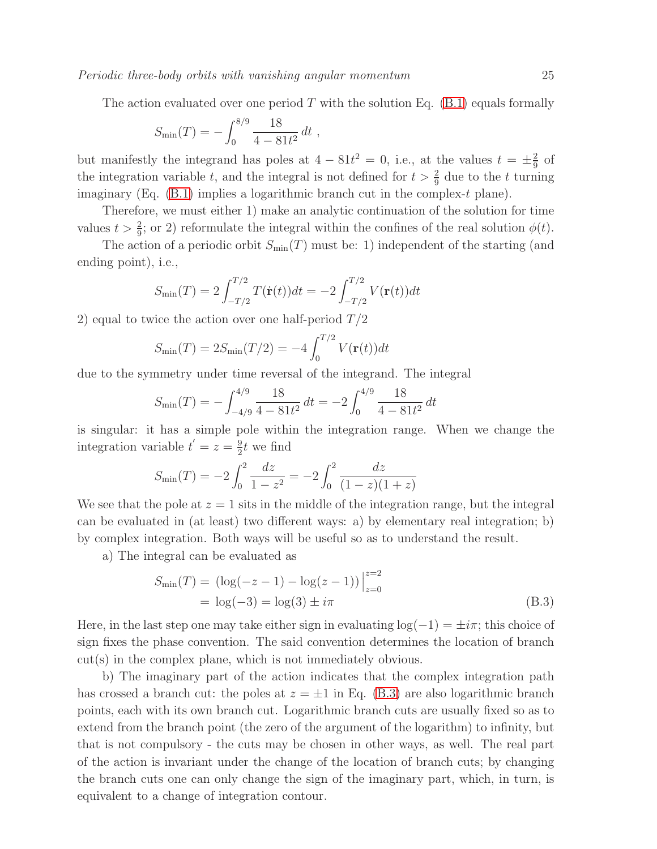The action evaluated over one period T with the solution Eq.  $(B.1)$  equals formally

$$
S_{\min}(T) = -\int_0^{8/9} \frac{18}{4 - 81t^2} dt ,
$$

but manifestly the integrand has poles at  $4 - 81t^2 = 0$ , i.e., at the values  $t = \pm \frac{2}{9}$  $rac{2}{9}$  of the integration variable t, and the integral is not defined for  $t > \frac{2}{9}$  due to the t turning imaginary (Eq.  $(B.1)$  implies a logarithmic branch cut in the complex-t plane).

Therefore, we must either 1) make an analytic continuation of the solution for time values  $t > \frac{2}{9}$ ; or 2) reformulate the integral within the confines of the real solution  $\phi(t)$ .

The action of a periodic orbit  $S_{\text{min}}(T)$  must be: 1) independent of the starting (and ending point), i.e.,

$$
S_{\min}(T) = 2 \int_{-T/2}^{T/2} T(\dot{\mathbf{r}}(t)) dt = -2 \int_{-T/2}^{T/2} V(\mathbf{r}(t)) dt
$$

2) equal to twice the action over one half-period  $T/2$ 

$$
S_{\min}(T) = 2S_{\min}(T/2) = -4 \int_0^{T/2} V(\mathbf{r}(t)) dt
$$

due to the symmetry under time reversal of the integrand. The integral

$$
S_{\min}(T) = -\int_{-4/9}^{4/9} \frac{18}{4 - 81t^2} dt = -2 \int_0^{4/9} \frac{18}{4 - 81t^2} dt
$$

is singular: it has a simple pole within the integration range. When we change the integration variable  $t' = z = \frac{9}{2}$  $\frac{9}{2}t$  we find

$$
S_{\min}(T) = -2\int_0^2 \frac{dz}{1-z^2} = -2\int_0^2 \frac{dz}{(1-z)(1+z)}
$$

We see that the pole at  $z = 1$  sits in the middle of the integration range, but the integral can be evaluated in (at least) two different ways: a) by elementary real integration; b) by complex integration. Both ways will be useful so as to understand the result.

a) The integral can be evaluated as

<span id="page-24-0"></span>
$$
S_{\min}(T) = (\log(-z - 1) - \log(z - 1))\Big|_{z=0}^{z=2}
$$
  
= log(-3) = log(3) ± *i*π (B.3)

Here, in the last step one may take either sign in evaluating  $log(-1) = \pm i\pi$ ; this choice of sign fixes the phase convention. The said convention determines the location of branch cut(s) in the complex plane, which is not immediately obvious.

b) The imaginary part of the action indicates that the complex integration path has crossed a branch cut: the poles at  $z = \pm 1$  in Eq. [\(B.3\)](#page-24-0) are also logarithmic branch points, each with its own branch cut. Logarithmic branch cuts are usually fixed so as to extend from the branch point (the zero of the argument of the logarithm) to infinity, but that is not compulsory - the cuts may be chosen in other ways, as well. The real part of the action is invariant under the change of the location of branch cuts; by changing the branch cuts one can only change the sign of the imaginary part, which, in turn, is equivalent to a change of integration contour.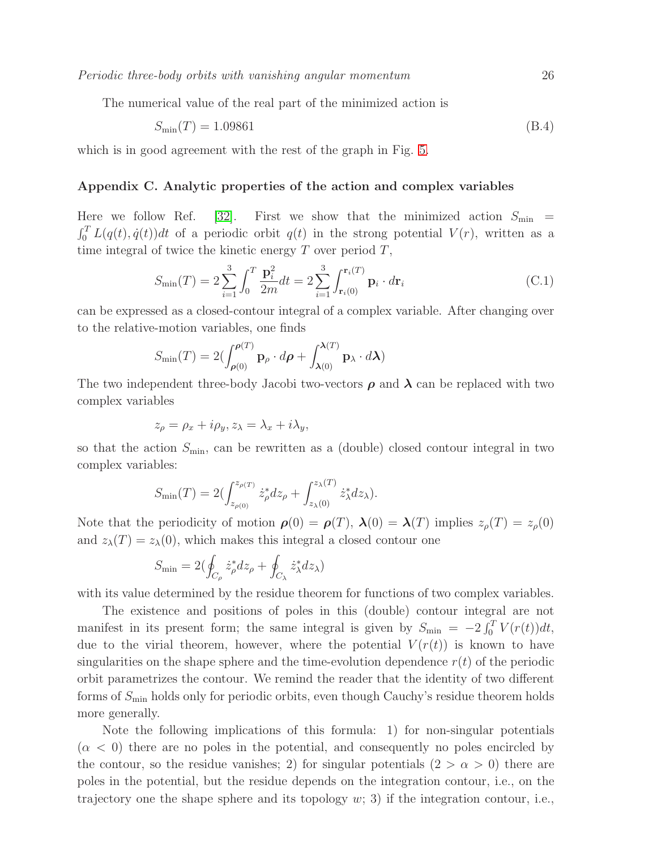The numerical value of the real part of the minimized action is

$$
S_{\min}(T) = 1.09861\tag{B.4}
$$

<span id="page-25-0"></span>which is in good agreement with the rest of the graph in Fig. [5.](#page-15-1)

#### Appendix C. Analytic properties of the action and complex variables

Here we follow Ref. [\[32\]](#page-27-19). First we show that the minimized action  $S_{\text{min}}$  =  $\int_0^T L(q(t), \dot{q}(t))dt$  of a periodic orbit  $q(t)$  in the strong potential  $V(r)$ , written as a time integral of twice the kinetic energy  $T$  over period  $T$ ,

$$
S_{\min}(T) = 2\sum_{i=1}^{3} \int_{0}^{T} \frac{\mathbf{p}_{i}^{2}}{2m} dt = 2\sum_{i=1}^{3} \int_{\mathbf{r}_{i}(0)}^{\mathbf{r}_{i}(T)} \mathbf{p}_{i} \cdot d\mathbf{r}_{i}
$$
(C.1)

can be expressed as a closed-contour integral of a complex variable. After changing over to the relative-motion variables, one finds

$$
S_{\min}(T) = 2\left(\int_{\rho(0)}^{\rho(T)} \mathbf{p}_{\rho} \cdot d\rho + \int_{\lambda(0)}^{\lambda(T)} \mathbf{p}_{\lambda} \cdot d\lambda\right)
$$

The two independent three-body Jacobi two-vectors  $\rho$  and  $\lambda$  can be replaced with two complex variables

$$
z_{\rho} = \rho_x + i\rho_y, z_{\lambda} = \lambda_x + i\lambda_y,
$$

so that the action  $S_{\text{min}}$ , can be rewritten as a (double) closed contour integral in two complex variables:

$$
S_{\min}(T) = 2\left(\int_{z_{\rho(0)}}^{z_{\rho(T)}} \dot{z}_{\rho}^* dz_{\rho} + \int_{z_{\lambda}(0)}^{z_{\lambda}(T)} \dot{z}_{\lambda}^* dz_{\lambda}\right).
$$

Note that the periodicity of motion  $\rho(0) = \rho(T)$ ,  $\lambda(0) = \lambda(T)$  implies  $z_{\rho}(T) = z_{\rho}(0)$ and  $z_{\lambda}(T) = z_{\lambda}(0)$ , which makes this integral a closed contour one

$$
S_{\min} = 2(\oint_{C_{\rho}} \dot{z}_{\rho}^* dz_{\rho} + \oint_{C_{\lambda}} \dot{z}_{\lambda}^* dz_{\lambda})
$$

with its value determined by the residue theorem for functions of two complex variables.

The existence and positions of poles in this (double) contour integral are not manifest in its present form; the same integral is given by  $S_{\min} = -2 \int_0^T V(r(t)) dt$ , due to the virial theorem, however, where the potential  $V(r(t))$  is known to have singularities on the shape sphere and the time-evolution dependence  $r(t)$  of the periodic orbit parametrizes the contour. We remind the reader that the identity of two different forms of  $S_{\text{min}}$  holds only for periodic orbits, even though Cauchy's residue theorem holds more generally.

Note the following implications of this formula: 1) for non-singular potentials  $(\alpha < 0)$  there are no poles in the potential, and consequently no poles encircled by the contour, so the residue vanishes; 2) for singular potentials  $(2 > \alpha > 0)$  there are poles in the potential, but the residue depends on the integration contour, i.e., on the trajectory one the shape sphere and its topology  $w$ ; 3) if the integration contour, i.e.,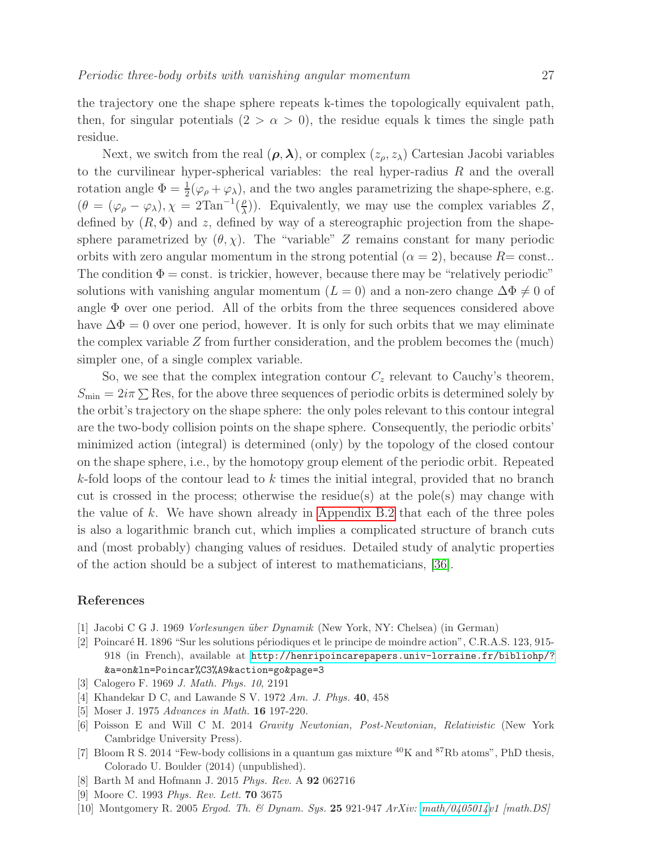the trajectory one the shape sphere repeats k-times the topologically equivalent path, then, for singular potentials  $(2 > \alpha > 0)$ , the residue equals k times the single path residue.

Next, we switch from the real  $(\rho, \lambda)$ , or complex  $(z_\rho, z_\lambda)$  Cartesian Jacobi variables to the curvilinear hyper-spherical variables: the real hyper-radius  $R$  and the overall rotation angle  $\Phi = \frac{1}{2}(\varphi_{\rho} + \varphi_{\lambda})$ , and the two angles parametrizing the shape-sphere, e.g.  $(\theta = (\varphi_{\rho} - \varphi_{\lambda}), \chi = 2\mathrm{Tan}^{-1}(\frac{\rho}{\lambda})$  $\binom{p}{\lambda}$ ). Equivalently, we may use the complex variables Z, defined by  $(R, \Phi)$  and z, defined by way of a stereographic projection from the shapesphere parametrized by  $(\theta, \chi)$ . The "variable" Z remains constant for many periodic orbits with zero angular momentum in the strong potential  $(\alpha = 2)$ , because  $R = \text{const.}$ . The condition  $\Phi = \text{const.}$  is trickier, however, because there may be "relatively periodic" solutions with vanishing angular momentum ( $L = 0$ ) and a non-zero change  $\Delta \Phi \neq 0$  of angle  $\Phi$  over one period. All of the orbits from the three sequences considered above have  $\Delta \Phi = 0$  over one period, however. It is only for such orbits that we may eliminate the complex variable  $Z$  from further consideration, and the problem becomes the (much) simpler one, of a single complex variable.

So, we see that the complex integration contour  $C_z$  relevant to Cauchy's theorem,  $S_{\text{min}} = 2i\pi \sum \text{Res}$ , for the above three sequences of periodic orbits is determined solely by the orbit's trajectory on the shape sphere: the only poles relevant to this contour integral are the two-body collision points on the shape sphere. Consequently, the periodic orbits' minimized action (integral) is determined (only) by the topology of the closed contour on the shape sphere, i.e., by the homotopy group element of the periodic orbit. Repeated  $k$ -fold loops of the contour lead to k times the initial integral, provided that no branch cut is crossed in the process; otherwise the residue(s) at the pole(s) may change with the value of  $k$ . We have shown already in [Appendix B.2](#page-23-1) that each of the three poles is also a logarithmic branch cut, which implies a complicated structure of branch cuts and (most probably) changing values of residues. Detailed study of analytic properties of the action should be a subject of interest to mathematicians, [\[36\]](#page-27-25).

# <span id="page-26-2"></span>References

- <span id="page-26-3"></span>[1] Jacobi C G J. 1969 Vorlesungen ¨uber Dynamik (New York, NY: Chelsea) (in German)
- [2] Poincar´e H. 1896 "Sur les solutions p´eriodiques et le principe de moindre action", C.R.A.S. 123, 915- 918 (in French), available at <http://henripoincarepapers.univ-lorraine.fr/bibliohp/?> &a=on&ln=Poincar%C3%A9&action=go&page=3
- <span id="page-26-5"></span><span id="page-26-4"></span>[3] Calogero F. 1969 J. Math. Phys. 10, 2191
- <span id="page-26-6"></span>[4] Khandekar D C, and Lawande S V. 1972 Am. J. Phys. 40, 458
- <span id="page-26-7"></span>[5] Moser J. 1975 Advances in Math. 16 197-220.
- [6] Poisson E and Will C M. 2014 Gravity Newtonian, Post-Newtonian, Relativistic (New York Cambridge University Press).
- <span id="page-26-8"></span>[7] Bloom R S. 2014 "Few-body collisions in a quantum gas mixture <sup>40</sup>K and <sup>87</sup>Rb atoms", PhD thesis, Colorado U. Boulder (2014) (unpublished).
- <span id="page-26-9"></span><span id="page-26-0"></span>[8] Barth M and Hofmann J. 2015 Phys. Rev. A 92 062716
- <span id="page-26-1"></span>[9] Moore C. 1993 Phys. Rev. Lett. 70 3675
- [10] Montgomery R. 2005 Ergod. Th. & Dynam. Sys. 25 921-947 ArXiv: [math/0405014v](http://arxiv.org/abs/math/0405014)1 [math.DS]